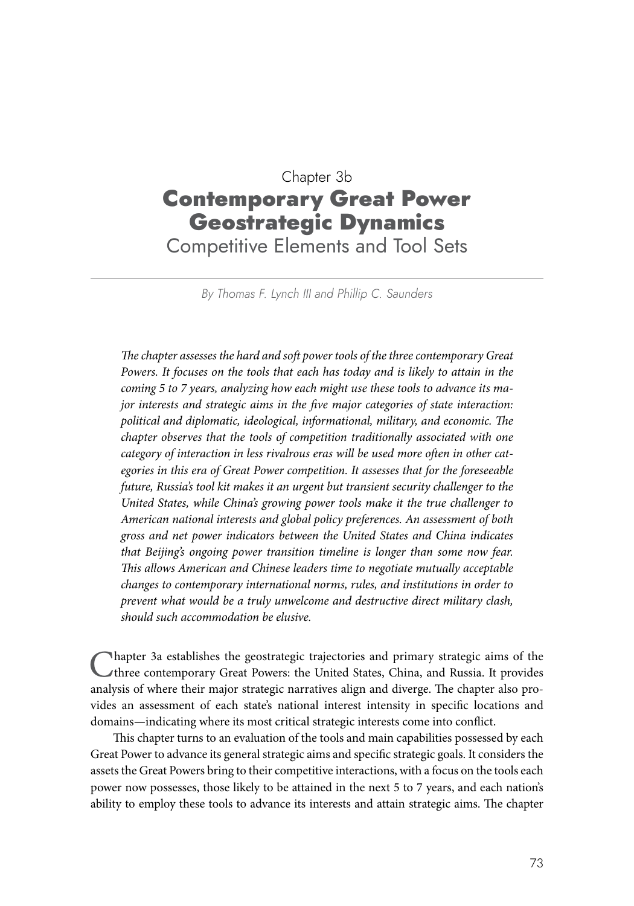# Chapter 3b Contemporary Great Power Geostrategic Dynamics Competitive Elements and Tool Sets

*By Thomas F. Lynch III and Phillip C. Saunders*

*The chapter assesses the hard and soft power tools of the three contemporary Great Powers. It focuses on the tools that each has today and is likely to attain in the coming 5 to 7 years, analyzing how each might use these tools to advance its major interests and strategic aims in the five major categories of state interaction: political and diplomatic, ideological, informational, military, and economic. The chapter observes that the tools of competition traditionally associated with one category of interaction in less rivalrous eras will be used more often in other categories in this era of Great Power competition. It assesses that for the foreseeable future, Russia's tool kit makes it an urgent but transient security challenger to the United States, while China's growing power tools make it the true challenger to American national interests and global policy preferences. An assessment of both gross and net power indicators between the United States and China indicates that Beijing's ongoing power transition timeline is longer than some now fear. This allows American and Chinese leaders time to negotiate mutually acceptable changes to contemporary international norms, rules, and institutions in order to prevent what would be a truly unwelcome and destructive direct military clash, should such accommodation be elusive.*

Ihapter 3a establishes the geostrategic trajectories and primary strategic aims of the three contemporary Great Powers: the United States, China, and Russia. It provides analysis of where their major strategic narratives align and diverge. The chapter also provides an assessment of each state's national interest intensity in specific locations and domains—indicating where its most critical strategic interests come into conflict.

This chapter turns to an evaluation of the tools and main capabilities possessed by each Great Power to advance its general strategic aims and specific strategic goals. It considers the assets the Great Powers bring to their competitive interactions, with a focus on the tools each power now possesses, those likely to be attained in the next 5 to 7 years, and each nation's ability to employ these tools to advance its interests and attain strategic aims. The chapter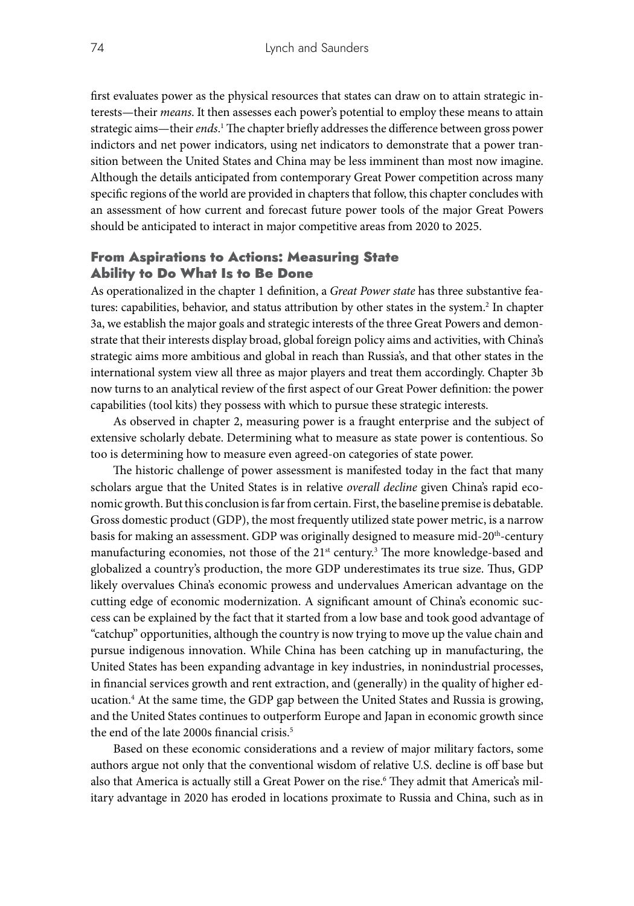first evaluates power as the physical resources that states can draw on to attain strategic interests—their *means*. It then assesses each power's potential to employ these means to attain strategic aims—their *ends*.<sup>1</sup> The chapter briefly addresses the difference between gross power indictors and net power indicators, using net indicators to demonstrate that a power transition between the United States and China may be less imminent than most now imagine. Although the details anticipated from contemporary Great Power competition across many specific regions of the world are provided in chapters that follow, this chapter concludes with an assessment of how current and forecast future power tools of the major Great Powers should be anticipated to interact in major competitive areas from 2020 to 2025.

# From Aspirations to Actions: Measuring State Ability to Do What Is to Be Done

As operationalized in the chapter 1 definition, a *Great Power state* has three substantive features: capabilities, behavior, and status attribution by other states in the system.<sup>2</sup> In chapter 3a, we establish the major goals and strategic interests of the three Great Powers and demonstrate that their interests display broad, global foreign policy aims and activities, with China's strategic aims more ambitious and global in reach than Russia's, and that other states in the international system view all three as major players and treat them accordingly. Chapter 3b now turns to an analytical review of the first aspect of our Great Power definition: the power capabilities (tool kits) they possess with which to pursue these strategic interests.

As observed in chapter 2, measuring power is a fraught enterprise and the subject of extensive scholarly debate. Determining what to measure as state power is contentious. So too is determining how to measure even agreed-on categories of state power.

The historic challenge of power assessment is manifested today in the fact that many scholars argue that the United States is in relative *overall decline* given China's rapid economic growth. But this conclusion is far from certain. First, the baseline premise is debatable. Gross domestic product (GDP), the most frequently utilized state power metric, is a narrow basis for making an assessment. GDP was originally designed to measure mid-20<sup>th</sup>-century manufacturing economies, not those of the 21<sup>st</sup> century.<sup>3</sup> The more knowledge-based and globalized a country's production, the more GDP underestimates its true size. Thus, GDP likely overvalues China's economic prowess and undervalues American advantage on the cutting edge of economic modernization. A significant amount of China's economic success can be explained by the fact that it started from a low base and took good advantage of "catchup" opportunities, although the country is now trying to move up the value chain and pursue indigenous innovation. While China has been catching up in manufacturing, the United States has been expanding advantage in key industries, in nonindustrial processes, in financial services growth and rent extraction, and (generally) in the quality of higher education.4 At the same time, the GDP gap between the United States and Russia is growing, and the United States continues to outperform Europe and Japan in economic growth since the end of the late 2000s financial crisis.<sup>5</sup>

Based on these economic considerations and a review of major military factors, some authors argue not only that the conventional wisdom of relative U.S. decline is off base but also that America is actually still a Great Power on the rise.<sup>6</sup> They admit that America's military advantage in 2020 has eroded in locations proximate to Russia and China, such as in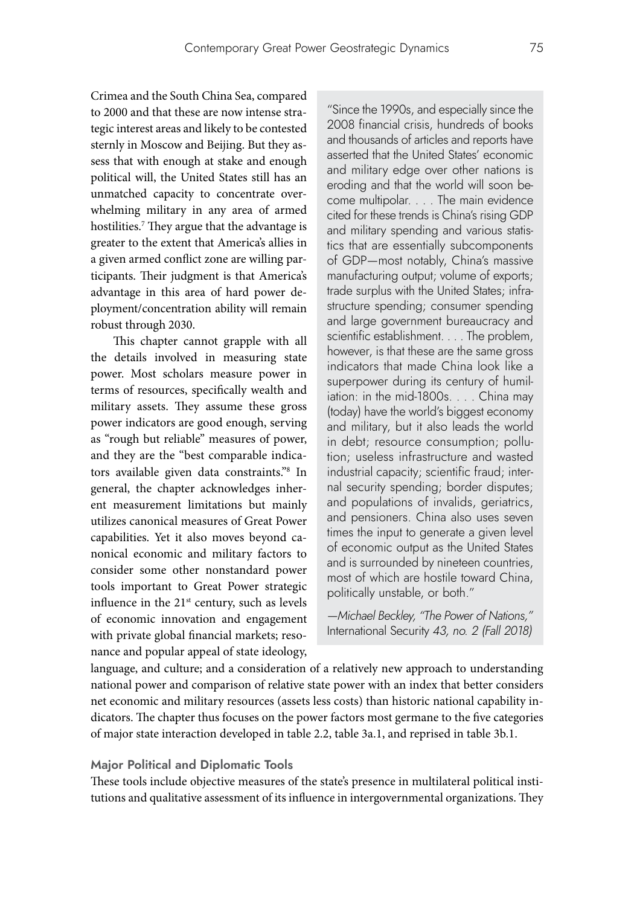Crimea and the South China Sea, compared to 2000 and that these are now intense strategic interest areas and likely to be contested sternly in Moscow and Beijing. But they assess that with enough at stake and enough political will, the United States still has an unmatched capacity to concentrate overwhelming military in any area of armed hostilities.7 They argue that the advantage is greater to the extent that America's allies in a given armed conflict zone are willing participants. Their judgment is that America's advantage in this area of hard power deployment/concentration ability will remain robust through 2030.

This chapter cannot grapple with all the details involved in measuring state power. Most scholars measure power in terms of resources, specifically wealth and military assets. They assume these gross power indicators are good enough, serving as "rough but reliable" measures of power, and they are the "best comparable indicators available given data constraints."8 In general, the chapter acknowledges inherent measurement limitations but mainly utilizes canonical measures of Great Power capabilities. Yet it also moves beyond canonical economic and military factors to consider some other nonstandard power tools important to Great Power strategic influence in the 21<sup>st</sup> century, such as levels of economic innovation and engagement with private global financial markets; resonance and popular appeal of state ideology,

"Since the 1990s, and especially since the 2008 financial crisis, hundreds of books and thousands of articles and reports have asserted that the United States' economic and military edge over other nations is eroding and that the world will soon become multipolar. . . . The main evidence cited for these trends is China's rising GDP and military spending and various statistics that are essentially subcomponents of GDP—most notably, China's massive manufacturing output; volume of exports; trade surplus with the United States; infrastructure spending; consumer spending and large government bureaucracy and scientific establishment. . . . The problem, however, is that these are the same gross indicators that made China look like a superpower during its century of humiliation: in the mid-1800s. . . . China may (today) have the world's biggest economy and military, but it also leads the world in debt; resource consumption; pollution; useless infrastructure and wasted industrial capacity; scientific fraud; internal security spending; border disputes; and populations of invalids, geriatrics, and pensioners. China also uses seven times the input to generate a given level of economic output as the United States and is surrounded by nineteen countries, most of which are hostile toward China, politically unstable, or both."

*—Michael Beckley, "The Power of Nations,"*  International Security *43, no. 2 (Fall 2018)*

language, and culture; and a consideration of a relatively new approach to understanding national power and comparison of relative state power with an index that better considers net economic and military resources (assets less costs) than historic national capability indicators. The chapter thus focuses on the power factors most germane to the five categories of major state interaction developed in table 2.2, table 3a.1, and reprised in table 3b.1.

### **Major Political and Diplomatic Tools**

These tools include objective measures of the state's presence in multilateral political institutions and qualitative assessment of its influence in intergovernmental organizations. They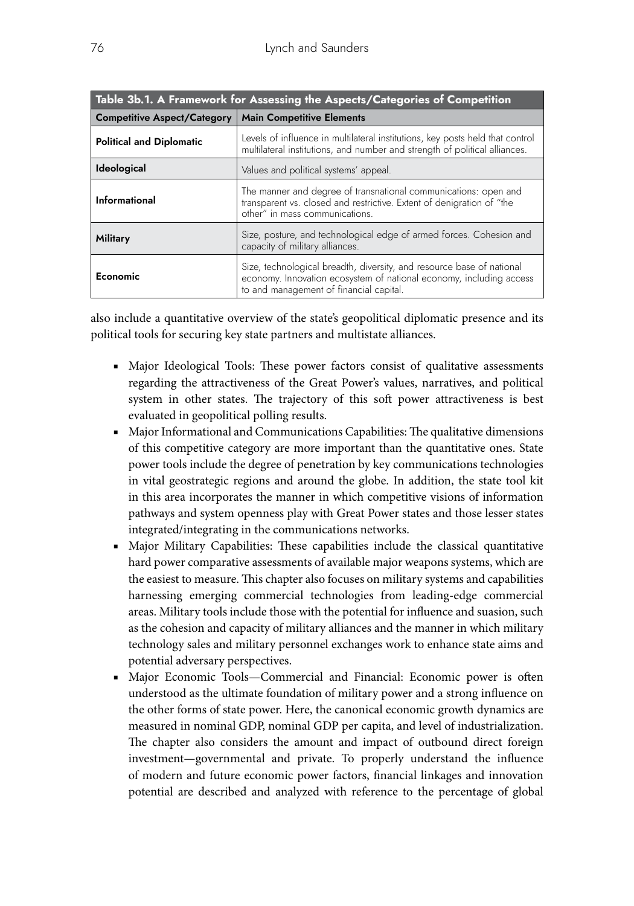| Table 3b.1. A Framework for Assessing the Aspects/Categories of Competition |                                                                                                                                                                                         |  |  |  |
|-----------------------------------------------------------------------------|-----------------------------------------------------------------------------------------------------------------------------------------------------------------------------------------|--|--|--|
| <b>Competitive Aspect/Category</b>                                          | <b>Main Competitive Elements</b>                                                                                                                                                        |  |  |  |
| <b>Political and Diplomatic</b>                                             | Levels of influence in multilateral institutions, key posts held that control<br>multilateral institutions, and number and strength of political alliances.                             |  |  |  |
| Ideological                                                                 | Values and political systems' appeal.                                                                                                                                                   |  |  |  |
| Informational                                                               | The manner and degree of transnational communications: open and<br>transparent vs. closed and restrictive. Extent of denigration of "the<br>other" in mass communications.              |  |  |  |
| Military                                                                    | Size, posture, and technological edge of armed forces. Cohesion and<br>capacity of military alliances.                                                                                  |  |  |  |
| Economic                                                                    | Size, technological breadth, diversity, and resource base of national<br>economy. Innovation ecosystem of national economy, including access<br>to and management of financial capital. |  |  |  |

also include a quantitative overview of the state's geopolitical diplomatic presence and its political tools for securing key state partners and multistate alliances.

- Major Ideological Tools: These power factors consist of qualitative assessments regarding the attractiveness of the Great Power's values, narratives, and political system in other states. The trajectory of this soft power attractiveness is best evaluated in geopolitical polling results.
- Major Informational and Communications Capabilities: The qualitative dimensions of this competitive category are more important than the quantitative ones. State power tools include the degree of penetration by key communications technologies in vital geostrategic regions and around the globe. In addition, the state tool kit in this area incorporates the manner in which competitive visions of information pathways and system openness play with Great Power states and those lesser states integrated/integrating in the communications networks.
- Major Military Capabilities: These capabilities include the classical quantitative hard power comparative assessments of available major weapons systems, which are the easiest to measure. This chapter also focuses on military systems and capabilities harnessing emerging commercial technologies from leading-edge commercial areas. Military tools include those with the potential for influence and suasion, such as the cohesion and capacity of military alliances and the manner in which military technology sales and military personnel exchanges work to enhance state aims and potential adversary perspectives.
- Major Economic Tools—Commercial and Financial: Economic power is often understood as the ultimate foundation of military power and a strong influence on the other forms of state power. Here, the canonical economic growth dynamics are measured in nominal GDP, nominal GDP per capita, and level of industrialization. The chapter also considers the amount and impact of outbound direct foreign investment—governmental and private. To properly understand the influence of modern and future economic power factors, financial linkages and innovation potential are described and analyzed with reference to the percentage of global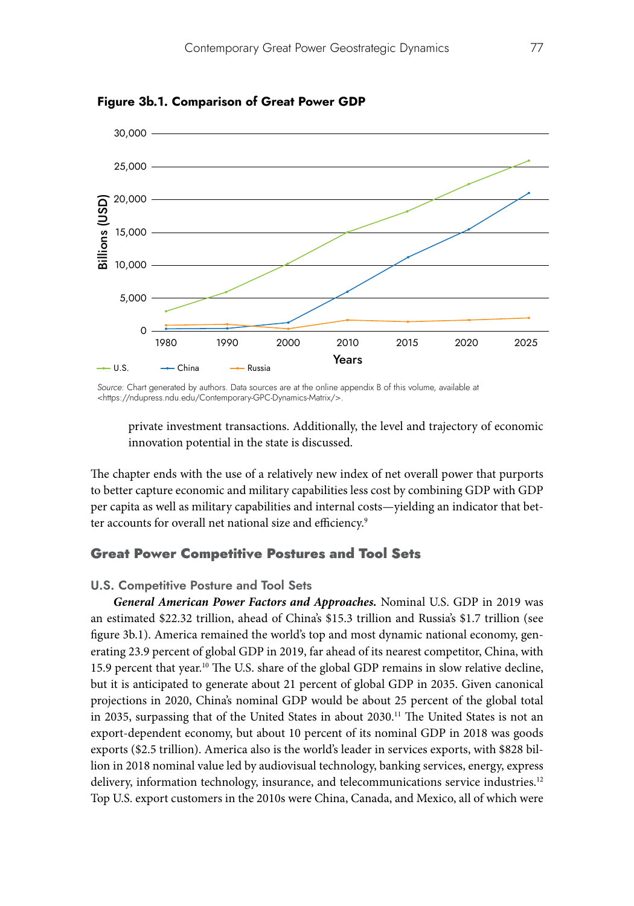

**Figure 3b.1. Comparison of Great Power GDP**

*Source*: Chart generated by authors. Data sources are at the online appendix B of this volume, available at <https://ndupress.ndu.edu/Contemporary-GPC-Dynamics-Matrix/>.

private investment transactions. Additionally, the level and trajectory of economic innovation potential in the state is discussed.

The chapter ends with the use of a relatively new index of net overall power that purports to better capture economic and military capabilities less cost by combining GDP with GDP per capita as well as military capabilities and internal costs—yielding an indicator that better accounts for overall net national size and efficiency.<sup>9</sup>

# Great Power Competitive Postures and Tool Sets

### **U.S. Competitive Posture and Tool Sets**

*General American Power Factors and Approaches.* Nominal U.S. GDP in 2019 was an estimated \$22.32 trillion, ahead of China's \$15.3 trillion and Russia's \$1.7 trillion (see figure 3b.1). America remained the world's top and most dynamic national economy, generating 23.9 percent of global GDP in 2019, far ahead of its nearest competitor, China, with 15.9 percent that year.10 The U.S. share of the global GDP remains in slow relative decline, but it is anticipated to generate about 21 percent of global GDP in 2035. Given canonical projections in 2020, China's nominal GDP would be about 25 percent of the global total in 2035, surpassing that of the United States in about 2030.<sup>11</sup> The United States is not an export-dependent economy, but about 10 percent of its nominal GDP in 2018 was goods exports (\$2.5 trillion). America also is the world's leader in services exports, with \$828 billion in 2018 nominal value led by audiovisual technology, banking services, energy, express delivery, information technology, insurance, and telecommunications service industries.<sup>12</sup> Top U.S. export customers in the 2010s were China, Canada, and Mexico, all of which were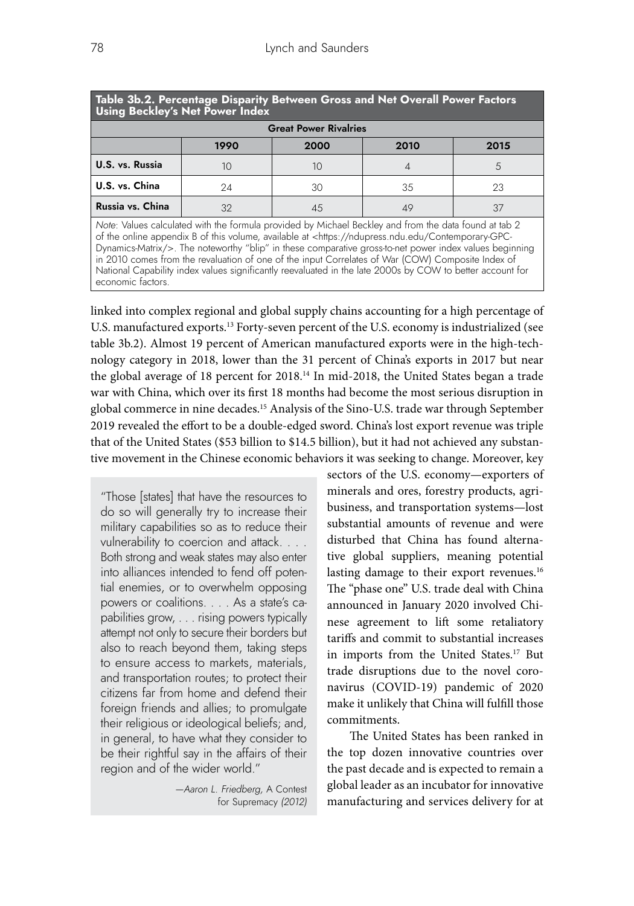| Table 3b.2. Percentage Disparity Between Gross and Net Overall Power Factors<br><b>Using Beckley's Net Power Index</b>                                                   |      |      |      |      |  |
|--------------------------------------------------------------------------------------------------------------------------------------------------------------------------|------|------|------|------|--|
| <b>Great Power Rivalries</b>                                                                                                                                             |      |      |      |      |  |
|                                                                                                                                                                          | 1990 | 2000 | 2010 | 2015 |  |
| U.S. vs. Russia                                                                                                                                                          | 10   | 10   |      | 5    |  |
| U.S. vs. China                                                                                                                                                           | 24   | 30   | -35  | 23   |  |
| Russia vs. China                                                                                                                                                         | 32   | 45   | 49   | 37   |  |
| $\sqrt{2}$<br>$\mathbf{v}$ $\mathbf{v}$<br>$\mathbf{r}$ and $\mathbf{r}$ is the state of $\mathbf{r}$<br>$\cdots$<br>$\sim$ $\sim$ $\sim$ $\sim$ $\sim$<br>.<br>$\cdots$ |      |      |      |      |  |

*Note*: Values calculated with the formula provided by Michael Beckley and from the data found at tab 2 of the online appendix B of this volume, available at <https://ndupress.ndu.edu/Contemporary-GPC-Dynamics-Matrix/>. The noteworthy "blip" in these comparative gross-to-net power index values beginning in 2010 comes from the revaluation of one of the input Correlates of War (COW) Composite Index of National Capability index values significantly reevaluated in the late 2000s by COW to better account for economic factors.

linked into complex regional and global supply chains accounting for a high percentage of U.S. manufactured exports.13 Forty-seven percent of the U.S. economy is industrialized (see table 3b.2). Almost 19 percent of American manufactured exports were in the high-technology category in 2018, lower than the 31 percent of China's exports in 2017 but near the global average of 18 percent for 2018.<sup>14</sup> In mid-2018, the United States began a trade war with China, which over its first 18 months had become the most serious disruption in global commerce in nine decades.15 Analysis of the Sino-U.S. trade war through September 2019 revealed the effort to be a double-edged sword. China's lost export revenue was triple that of the United States (\$53 billion to \$14.5 billion), but it had not achieved any substantive movement in the Chinese economic behaviors it was seeking to change. Moreover, key

"Those [states] that have the resources to do so will generally try to increase their military capabilities so as to reduce their vulnerability to coercion and attack. . . . Both strong and weak states may also enter into alliances intended to fend off potential enemies, or to overwhelm opposing powers or coalitions. . . . As a state's capabilities grow, . . . rising powers typically attempt not only to secure their borders but also to reach beyond them, taking steps to ensure access to markets, materials, and transportation routes; to protect their citizens far from home and defend their foreign friends and allies; to promulgate their religious or ideological beliefs; and, in general, to have what they consider to be their rightful say in the affairs of their region and of the wider world."

> *—Aaron L. Friedberg,* A Contest for Supremacy *(2012)*

sectors of the U.S. economy—exporters of minerals and ores, forestry products, agribusiness, and transportation systems—lost substantial amounts of revenue and were disturbed that China has found alternative global suppliers, meaning potential lasting damage to their export revenues.<sup>16</sup> The "phase one" U.S. trade deal with China announced in January 2020 involved Chinese agreement to lift some retaliatory tariffs and commit to substantial increases in imports from the United States.17 But trade disruptions due to the novel coronavirus (COVID-19) pandemic of 2020 make it unlikely that China will fulfill those commitments.

The United States has been ranked in the top dozen innovative countries over the past decade and is expected to remain a global leader as an incubator for innovative manufacturing and services delivery for at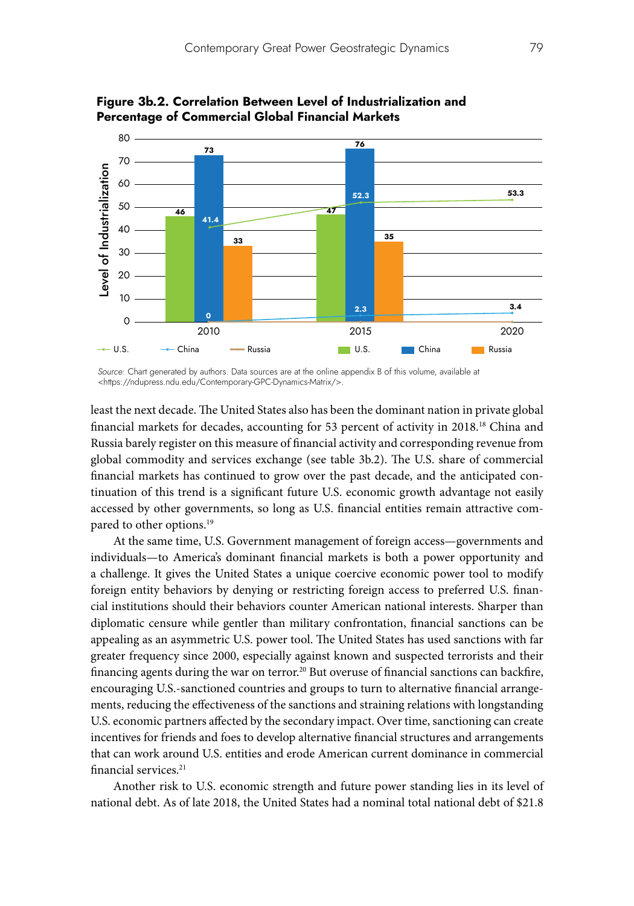

**Figure 3b.2. Correlation Between Level of Industrialization and Percentage of Commercial Global Financial Markets**

*Source*: Chart generated by authors. Data sources are at the online appendix B of this volume, available at <https://ndupress.ndu.edu/Contemporary-GPC-Dynamics-Matrix/>.

least the next decade. The United States also has been the dominant nation in private global financial markets for decades, accounting for 53 percent of activity in 2018.18 China and Russia barely register on this measure of financial activity and corresponding revenue from global commodity and services exchange (see table 3b.2). The U.S. share of commercial financial markets has continued to grow over the past decade, and the anticipated continuation of this trend is a significant future U.S. economic growth advantage not easily accessed by other governments, so long as U.S. financial entities remain attractive compared to other options.<sup>19</sup>

At the same time, U.S. Government management of foreign access—governments and individuals—to America's dominant financial markets is both a power opportunity and a challenge. It gives the United States a unique coercive economic power tool to modify foreign entity behaviors by denying or restricting foreign access to preferred U.S. financial institutions should their behaviors counter American national interests. Sharper than diplomatic censure while gentler than military confrontation, financial sanctions can be appealing as an asymmetric U.S. power tool. The United States has used sanctions with far greater frequency since 2000, especially against known and suspected terrorists and their financing agents during the war on terror.<sup>20</sup> But overuse of financial sanctions can backfire, encouraging U.S.-sanctioned countries and groups to turn to alternative financial arrangements, reducing the effectiveness of the sanctions and straining relations with longstanding U.S. economic partners affected by the secondary impact. Over time, sanctioning can create incentives for friends and foes to develop alternative financial structures and arrangements that can work around U.S. entities and erode American current dominance in commercial financial services.<sup>21</sup>

Another risk to U.S. economic strength and future power standing lies in its level of national debt. As of late 2018, the United States had a nominal total national debt of \$21.8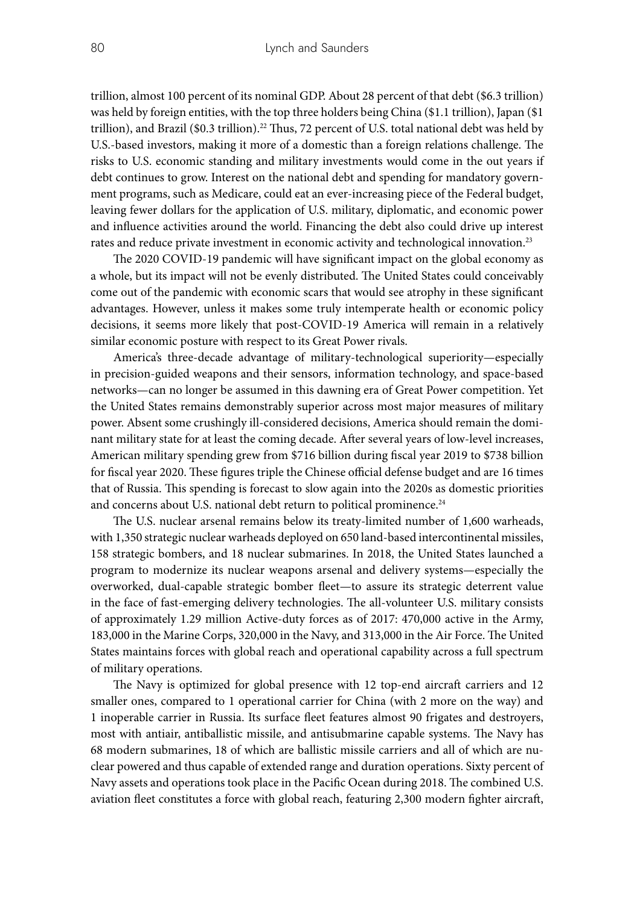trillion, almost 100 percent of its nominal GDP. About 28 percent of that debt (\$6.3 trillion) was held by foreign entities, with the top three holders being China (\$1.1 trillion), Japan (\$1 trillion), and Brazil  $(\$0.3$  trillion).<sup>22</sup> Thus, 72 percent of U.S. total national debt was held by U.S.-based investors, making it more of a domestic than a foreign relations challenge. The risks to U.S. economic standing and military investments would come in the out years if debt continues to grow. Interest on the national debt and spending for mandatory government programs, such as Medicare, could eat an ever-increasing piece of the Federal budget, leaving fewer dollars for the application of U.S. military, diplomatic, and economic power and influence activities around the world. Financing the debt also could drive up interest rates and reduce private investment in economic activity and technological innovation.23

The 2020 COVID-19 pandemic will have significant impact on the global economy as a whole, but its impact will not be evenly distributed. The United States could conceivably come out of the pandemic with economic scars that would see atrophy in these significant advantages. However, unless it makes some truly intemperate health or economic policy decisions, it seems more likely that post-COVID-19 America will remain in a relatively similar economic posture with respect to its Great Power rivals.

America's three-decade advantage of military-technological superiority—especially in precision-guided weapons and their sensors, information technology, and space-based networks—can no longer be assumed in this dawning era of Great Power competition. Yet the United States remains demonstrably superior across most major measures of military power. Absent some crushingly ill-considered decisions, America should remain the dominant military state for at least the coming decade. After several years of low-level increases, American military spending grew from \$716 billion during fiscal year 2019 to \$738 billion for fiscal year 2020. These figures triple the Chinese official defense budget and are 16 times that of Russia. This spending is forecast to slow again into the 2020s as domestic priorities and concerns about U.S. national debt return to political prominence.<sup>24</sup>

The U.S. nuclear arsenal remains below its treaty-limited number of 1,600 warheads, with 1,350 strategic nuclear warheads deployed on 650 land-based intercontinental missiles, 158 strategic bombers, and 18 nuclear submarines. In 2018, the United States launched a program to modernize its nuclear weapons arsenal and delivery systems—especially the overworked, dual-capable strategic bomber fleet—to assure its strategic deterrent value in the face of fast-emerging delivery technologies. The all-volunteer U.S. military consists of approximately 1.29 million Active-duty forces as of 2017: 470,000 active in the Army, 183,000 in the Marine Corps, 320,000 in the Navy, and 313,000 in the Air Force. The United States maintains forces with global reach and operational capability across a full spectrum of military operations.

The Navy is optimized for global presence with 12 top-end aircraft carriers and 12 smaller ones, compared to 1 operational carrier for China (with 2 more on the way) and 1 inoperable carrier in Russia. Its surface fleet features almost 90 frigates and destroyers, most with antiair, antiballistic missile, and antisubmarine capable systems. The Navy has 68 modern submarines, 18 of which are ballistic missile carriers and all of which are nuclear powered and thus capable of extended range and duration operations. Sixty percent of Navy assets and operations took place in the Pacific Ocean during 2018. The combined U.S. aviation fleet constitutes a force with global reach, featuring 2,300 modern fighter aircraft,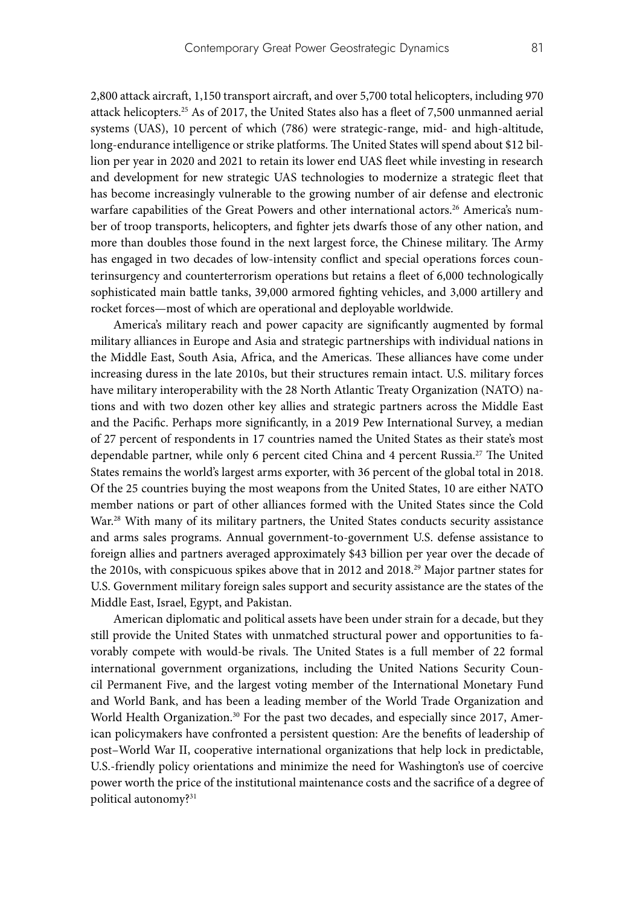2,800 attack aircraft, 1,150 transport aircraft, and over 5,700 total helicopters, including 970 attack helicopters.25 As of 2017, the United States also has a fleet of 7,500 unmanned aerial systems (UAS), 10 percent of which (786) were strategic-range, mid- and high-altitude, long-endurance intelligence or strike platforms. The United States will spend about \$12 billion per year in 2020 and 2021 to retain its lower end UAS fleet while investing in research and development for new strategic UAS technologies to modernize a strategic fleet that has become increasingly vulnerable to the growing number of air defense and electronic warfare capabilities of the Great Powers and other international actors.<sup>26</sup> America's number of troop transports, helicopters, and fighter jets dwarfs those of any other nation, and more than doubles those found in the next largest force, the Chinese military. The Army has engaged in two decades of low-intensity conflict and special operations forces counterinsurgency and counterterrorism operations but retains a fleet of 6,000 technologically sophisticated main battle tanks, 39,000 armored fighting vehicles, and 3,000 artillery and rocket forces—most of which are operational and deployable worldwide.

America's military reach and power capacity are significantly augmented by formal military alliances in Europe and Asia and strategic partnerships with individual nations in the Middle East, South Asia, Africa, and the Americas. These alliances have come under increasing duress in the late 2010s, but their structures remain intact. U.S. military forces have military interoperability with the 28 North Atlantic Treaty Organization (NATO) nations and with two dozen other key allies and strategic partners across the Middle East and the Pacific. Perhaps more significantly, in a 2019 Pew International Survey, a median of 27 percent of respondents in 17 countries named the United States as their state's most dependable partner, while only 6 percent cited China and 4 percent Russia.<sup>27</sup> The United States remains the world's largest arms exporter, with 36 percent of the global total in 2018. Of the 25 countries buying the most weapons from the United States, 10 are either NATO member nations or part of other alliances formed with the United States since the Cold War.<sup>28</sup> With many of its military partners, the United States conducts security assistance and arms sales programs. Annual government-to-government U.S. defense assistance to foreign allies and partners averaged approximately \$43 billion per year over the decade of the 2010s, with conspicuous spikes above that in 2012 and 2018.29 Major partner states for U.S. Government military foreign sales support and security assistance are the states of the Middle East, Israel, Egypt, and Pakistan.

American diplomatic and political assets have been under strain for a decade, but they still provide the United States with unmatched structural power and opportunities to favorably compete with would-be rivals. The United States is a full member of 22 formal international government organizations, including the United Nations Security Council Permanent Five, and the largest voting member of the International Monetary Fund and World Bank, and has been a leading member of the World Trade Organization and World Health Organization. $30$  For the past two decades, and especially since 2017, American policymakers have confronted a persistent question: Are the benefits of leadership of post–World War II, cooperative international organizations that help lock in predictable, U.S.-friendly policy orientations and minimize the need for Washington's use of coercive power worth the price of the institutional maintenance costs and the sacrifice of a degree of political autonomy?<sup>31</sup>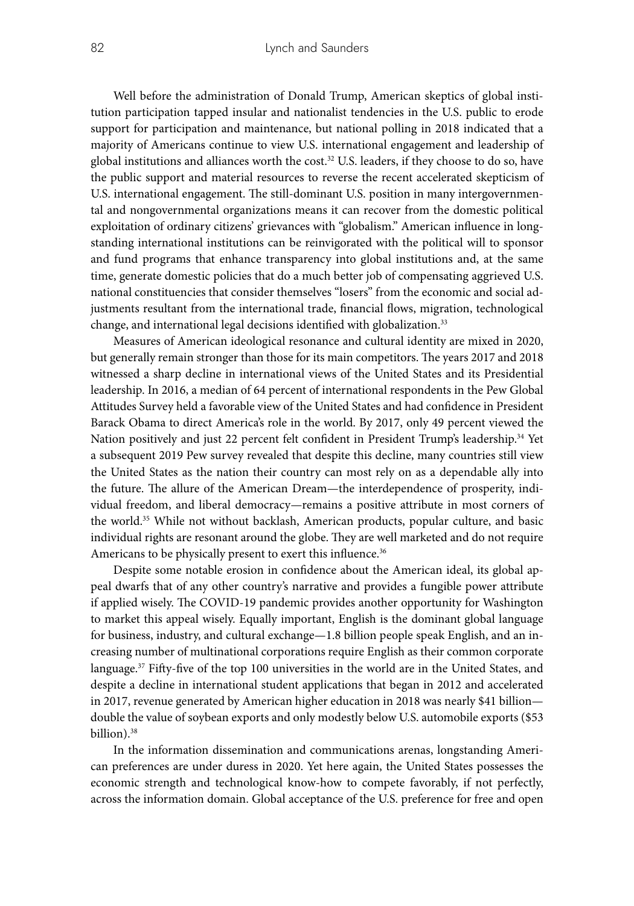Well before the administration of Donald Trump, American skeptics of global institution participation tapped insular and nationalist tendencies in the U.S. public to erode support for participation and maintenance, but national polling in 2018 indicated that a majority of Americans continue to view U.S. international engagement and leadership of global institutions and alliances worth the cost.<sup>32</sup> U.S. leaders, if they choose to do so, have the public support and material resources to reverse the recent accelerated skepticism of U.S. international engagement. The still-dominant U.S. position in many intergovernmental and nongovernmental organizations means it can recover from the domestic political exploitation of ordinary citizens' grievances with "globalism." American influence in longstanding international institutions can be reinvigorated with the political will to sponsor and fund programs that enhance transparency into global institutions and, at the same time, generate domestic policies that do a much better job of compensating aggrieved U.S. national constituencies that consider themselves "losers" from the economic and social adjustments resultant from the international trade, financial flows, migration, technological change, and international legal decisions identified with globalization.<sup>33</sup>

Measures of American ideological resonance and cultural identity are mixed in 2020, but generally remain stronger than those for its main competitors. The years 2017 and 2018 witnessed a sharp decline in international views of the United States and its Presidential leadership. In 2016, a median of 64 percent of international respondents in the Pew Global Attitudes Survey held a favorable view of the United States and had confidence in President Barack Obama to direct America's role in the world. By 2017, only 49 percent viewed the Nation positively and just 22 percent felt confident in President Trump's leadership.34 Yet a subsequent 2019 Pew survey revealed that despite this decline, many countries still view the United States as the nation their country can most rely on as a dependable ally into the future. The allure of the American Dream—the interdependence of prosperity, individual freedom, and liberal democracy—remains a positive attribute in most corners of the world.35 While not without backlash, American products, popular culture, and basic individual rights are resonant around the globe. They are well marketed and do not require Americans to be physically present to exert this influence.<sup>36</sup>

Despite some notable erosion in confidence about the American ideal, its global appeal dwarfs that of any other country's narrative and provides a fungible power attribute if applied wisely. The COVID-19 pandemic provides another opportunity for Washington to market this appeal wisely. Equally important, English is the dominant global language for business, industry, and cultural exchange—1.8 billion people speak English, and an increasing number of multinational corporations require English as their common corporate language. $37$  Fifty-five of the top 100 universities in the world are in the United States, and despite a decline in international student applications that began in 2012 and accelerated in 2017, revenue generated by American higher education in 2018 was nearly \$41 billion double the value of soybean exports and only modestly below U.S. automobile exports (\$53 billion).38

In the information dissemination and communications arenas, longstanding American preferences are under duress in 2020. Yet here again, the United States possesses the economic strength and technological know-how to compete favorably, if not perfectly, across the information domain. Global acceptance of the U.S. preference for free and open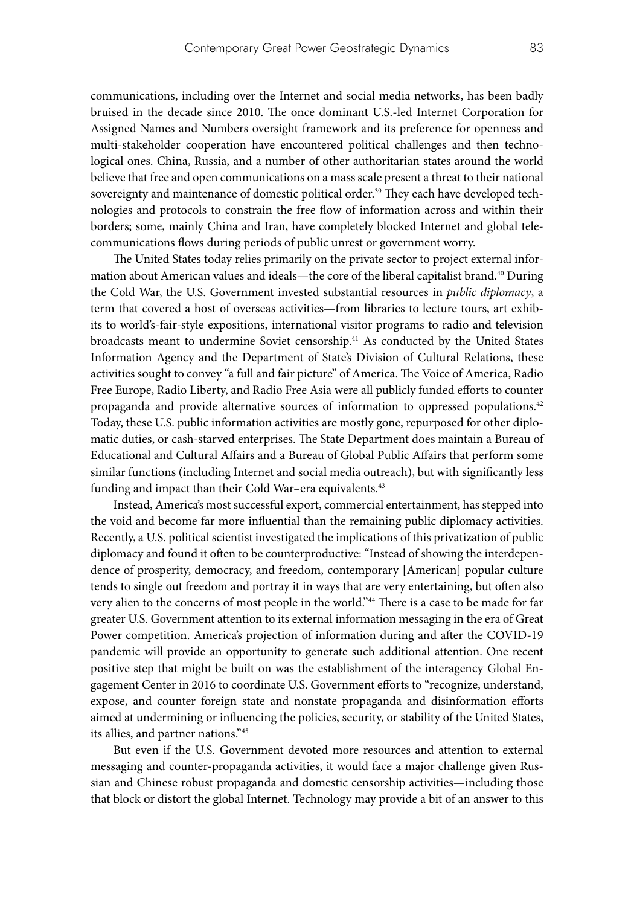communications, including over the Internet and social media networks, has been badly bruised in the decade since 2010. The once dominant U.S.-led Internet Corporation for Assigned Names and Numbers oversight framework and its preference for openness and multi-stakeholder cooperation have encountered political challenges and then technological ones. China, Russia, and a number of other authoritarian states around the world believe that free and open communications on a mass scale present a threat to their national sovereignty and maintenance of domestic political order.<sup>39</sup> They each have developed technologies and protocols to constrain the free flow of information across and within their borders; some, mainly China and Iran, have completely blocked Internet and global telecommunications flows during periods of public unrest or government worry.

The United States today relies primarily on the private sector to project external information about American values and ideals—the core of the liberal capitalist brand.40 During the Cold War, the U.S. Government invested substantial resources in *public diplomacy*, a term that covered a host of overseas activities—from libraries to lecture tours, art exhibits to world's-fair-style expositions, international visitor programs to radio and television broadcasts meant to undermine Soviet censorship.41 As conducted by the United States Information Agency and the Department of State's Division of Cultural Relations, these activities sought to convey "a full and fair picture" of America. The Voice of America, Radio Free Europe, Radio Liberty, and Radio Free Asia were all publicly funded efforts to counter propaganda and provide alternative sources of information to oppressed populations.42 Today, these U.S. public information activities are mostly gone, repurposed for other diplomatic duties, or cash-starved enterprises. The State Department does maintain a Bureau of Educational and Cultural Affairs and a Bureau of Global Public Affairs that perform some similar functions (including Internet and social media outreach), but with significantly less funding and impact than their Cold War-era equivalents.<sup>43</sup>

Instead, America's most successful export, commercial entertainment, has stepped into the void and become far more influential than the remaining public diplomacy activities. Recently, a U.S. political scientist investigated the implications of this privatization of public diplomacy and found it often to be counterproductive: "Instead of showing the interdependence of prosperity, democracy, and freedom, contemporary [American] popular culture tends to single out freedom and portray it in ways that are very entertaining, but often also very alien to the concerns of most people in the world."<sup>44</sup> There is a case to be made for far greater U.S. Government attention to its external information messaging in the era of Great Power competition. America's projection of information during and after the COVID-19 pandemic will provide an opportunity to generate such additional attention. One recent positive step that might be built on was the establishment of the interagency Global Engagement Center in 2016 to coordinate U.S. Government efforts to "recognize, understand, expose, and counter foreign state and nonstate propaganda and disinformation efforts aimed at undermining or influencing the policies, security, or stability of the United States, its allies, and partner nations."45

But even if the U.S. Government devoted more resources and attention to external messaging and counter-propaganda activities, it would face a major challenge given Russian and Chinese robust propaganda and domestic censorship activities—including those that block or distort the global Internet. Technology may provide a bit of an answer to this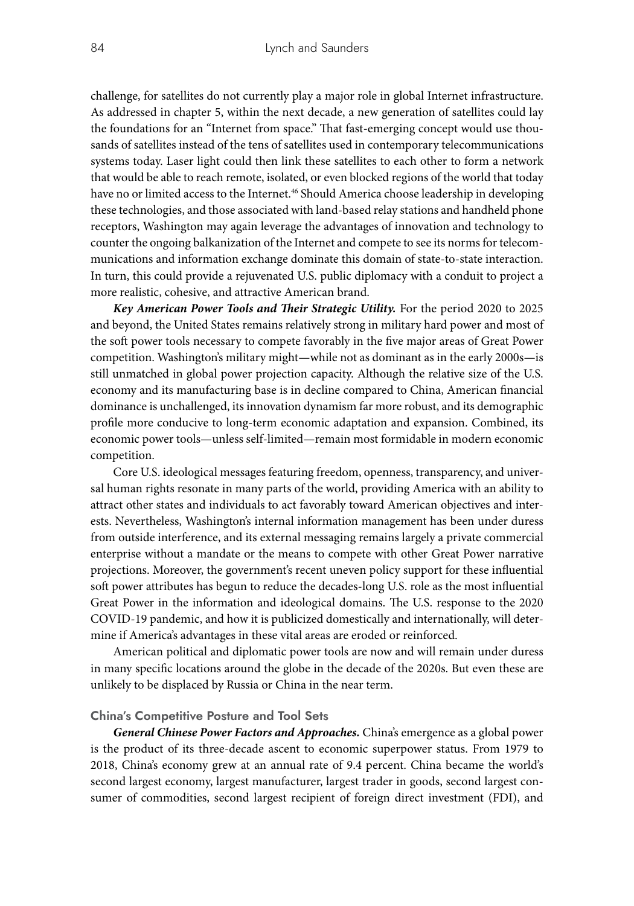challenge, for satellites do not currently play a major role in global Internet infrastructure. As addressed in chapter 5, within the next decade, a new generation of satellites could lay the foundations for an "Internet from space." That fast-emerging concept would use thousands of satellites instead of the tens of satellites used in contemporary telecommunications systems today. Laser light could then link these satellites to each other to form a network that would be able to reach remote, isolated, or even blocked regions of the world that today have no or limited access to the Internet.<sup>46</sup> Should America choose leadership in developing these technologies, and those associated with land-based relay stations and handheld phone receptors, Washington may again leverage the advantages of innovation and technology to counter the ongoing balkanization of the Internet and compete to see its norms for telecommunications and information exchange dominate this domain of state-to-state interaction. In turn, this could provide a rejuvenated U.S. public diplomacy with a conduit to project a more realistic, cohesive, and attractive American brand.

*Key American Power Tools and Their Strategic Utility.* For the period 2020 to 2025 and beyond, the United States remains relatively strong in military hard power and most of the soft power tools necessary to compete favorably in the five major areas of Great Power competition. Washington's military might—while not as dominant as in the early 2000s—is still unmatched in global power projection capacity. Although the relative size of the U.S. economy and its manufacturing base is in decline compared to China, American financial dominance is unchallenged, its innovation dynamism far more robust, and its demographic profile more conducive to long-term economic adaptation and expansion. Combined, its economic power tools—unless self-limited—remain most formidable in modern economic competition.

Core U.S. ideological messages featuring freedom, openness, transparency, and universal human rights resonate in many parts of the world, providing America with an ability to attract other states and individuals to act favorably toward American objectives and interests. Nevertheless, Washington's internal information management has been under duress from outside interference, and its external messaging remains largely a private commercial enterprise without a mandate or the means to compete with other Great Power narrative projections. Moreover, the government's recent uneven policy support for these influential soft power attributes has begun to reduce the decades-long U.S. role as the most influential Great Power in the information and ideological domains. The U.S. response to the 2020 COVID-19 pandemic, and how it is publicized domestically and internationally, will determine if America's advantages in these vital areas are eroded or reinforced.

American political and diplomatic power tools are now and will remain under duress in many specific locations around the globe in the decade of the 2020s. But even these are unlikely to be displaced by Russia or China in the near term.

#### **China's Competitive Posture and Tool Sets**

*General Chinese Power Factors and Approaches.* China's emergence as a global power is the product of its three-decade ascent to economic superpower status. From 1979 to 2018, China's economy grew at an annual rate of 9.4 percent. China became the world's second largest economy, largest manufacturer, largest trader in goods, second largest consumer of commodities, second largest recipient of foreign direct investment (FDI), and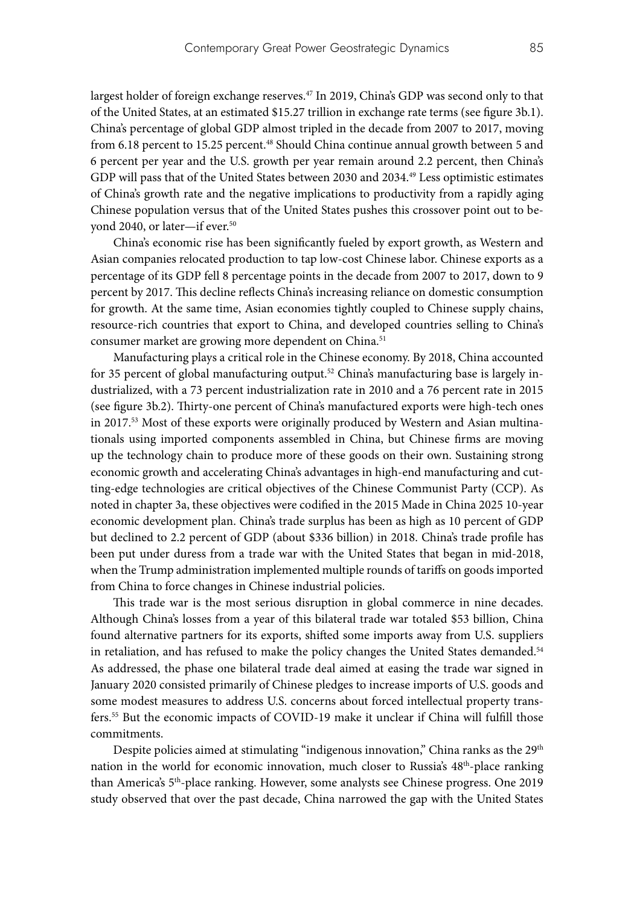largest holder of foreign exchange reserves.<sup>47</sup> In 2019, China's GDP was second only to that of the United States, at an estimated \$15.27 trillion in exchange rate terms (see figure 3b.1). China's percentage of global GDP almost tripled in the decade from 2007 to 2017, moving from 6.18 percent to 15.25 percent.<sup>48</sup> Should China continue annual growth between 5 and 6 percent per year and the U.S. growth per year remain around 2.2 percent, then China's GDP will pass that of the United States between 2030 and 2034.<sup>49</sup> Less optimistic estimates of China's growth rate and the negative implications to productivity from a rapidly aging Chinese population versus that of the United States pushes this crossover point out to beyond 2040, or later-if ever.<sup>50</sup>

China's economic rise has been significantly fueled by export growth, as Western and Asian companies relocated production to tap low-cost Chinese labor. Chinese exports as a percentage of its GDP fell 8 percentage points in the decade from 2007 to 2017, down to 9 percent by 2017. This decline reflects China's increasing reliance on domestic consumption for growth. At the same time, Asian economies tightly coupled to Chinese supply chains, resource-rich countries that export to China, and developed countries selling to China's consumer market are growing more dependent on China.<sup>51</sup>

Manufacturing plays a critical role in the Chinese economy. By 2018, China accounted for 35 percent of global manufacturing output.<sup>52</sup> China's manufacturing base is largely industrialized, with a 73 percent industrialization rate in 2010 and a 76 percent rate in 2015 (see figure 3b.2). Thirty-one percent of China's manufactured exports were high-tech ones in 2017.<sup>53</sup> Most of these exports were originally produced by Western and Asian multinationals using imported components assembled in China, but Chinese firms are moving up the technology chain to produce more of these goods on their own. Sustaining strong economic growth and accelerating China's advantages in high-end manufacturing and cutting-edge technologies are critical objectives of the Chinese Communist Party (CCP). As noted in chapter 3a, these objectives were codified in the 2015 Made in China 2025 10-year economic development plan. China's trade surplus has been as high as 10 percent of GDP but declined to 2.2 percent of GDP (about \$336 billion) in 2018. China's trade profile has been put under duress from a trade war with the United States that began in mid-2018, when the Trump administration implemented multiple rounds of tariffs on goods imported from China to force changes in Chinese industrial policies.

This trade war is the most serious disruption in global commerce in nine decades. Although China's losses from a year of this bilateral trade war totaled \$53 billion, China found alternative partners for its exports, shifted some imports away from U.S. suppliers in retaliation, and has refused to make the policy changes the United States demanded.<sup>54</sup> As addressed, the phase one bilateral trade deal aimed at easing the trade war signed in January 2020 consisted primarily of Chinese pledges to increase imports of U.S. goods and some modest measures to address U.S. concerns about forced intellectual property transfers.55 But the economic impacts of COVID-19 make it unclear if China will fulfill those commitments.

Despite policies aimed at stimulating "indigenous innovation," China ranks as the 29<sup>th</sup> nation in the world for economic innovation, much closer to Russia's 48<sup>th</sup>-place ranking than America's 5th-place ranking. However, some analysts see Chinese progress. One 2019 study observed that over the past decade, China narrowed the gap with the United States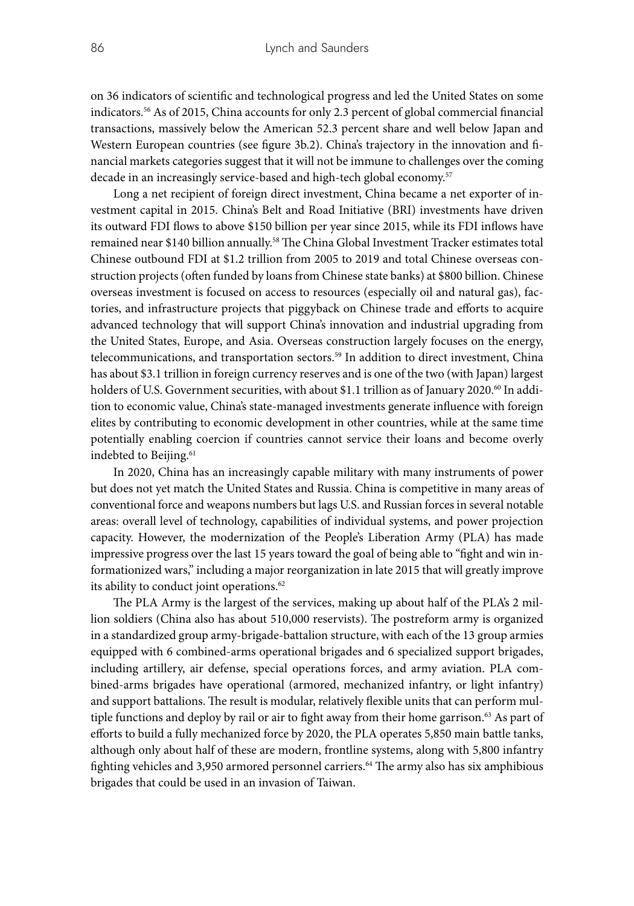on 36 indicators of scientific and technological progress and led the United States on some indicators.56 As of 2015, China accounts for only 2.3 percent of global commercial financial transactions, massively below the American 52.3 percent share and well below Japan and Western European countries (see figure 3b.2). China's trajectory in the innovation and financial markets categories suggest that it will not be immune to challenges over the coming decade in an increasingly service-based and high-tech global economy.<sup>57</sup>

Long a net recipient of foreign direct investment, China became a net exporter of investment capital in 2015. China's Belt and Road Initiative (BRI) investments have driven its outward FDI flows to above \$150 billion per year since 2015, while its FDI inflows have remained near \$140 billion annually.<sup>58</sup> The China Global Investment Tracker estimates total Chinese outbound FDI at \$1.2 trillion from 2005 to 2019 and total Chinese overseas construction projects (often funded by loans from Chinese state banks) at \$800 billion. Chinese overseas investment is focused on access to resources (especially oil and natural gas), factories, and infrastructure projects that piggyback on Chinese trade and efforts to acquire advanced technology that will support China's innovation and industrial upgrading from the United States, Europe, and Asia. Overseas construction largely focuses on the energy, telecommunications, and transportation sectors.59 In addition to direct investment, China has about \$3.1 trillion in foreign currency reserves and is one of the two (with Japan) largest holders of U.S. Government securities, with about \$1.1 trillion as of January 2020.<sup>60</sup> In addition to economic value, China's state-managed investments generate influence with foreign elites by contributing to economic development in other countries, while at the same time potentially enabling coercion if countries cannot service their loans and become overly indebted to Beijing.<sup>61</sup>

In 2020, China has an increasingly capable military with many instruments of power but does not yet match the United States and Russia. China is competitive in many areas of conventional force and weapons numbers but lags U.S. and Russian forces in several notable areas: overall level of technology, capabilities of individual systems, and power projection capacity. However, the modernization of the People's Liberation Army (PLA) has made impressive progress over the last 15 years toward the goal of being able to "fight and win informationized wars," including a major reorganization in late 2015 that will greatly improve its ability to conduct joint operations.<sup>62</sup>

The PLA Army is the largest of the services, making up about half of the PLA's 2 million soldiers (China also has about 510,000 reservists). The postreform army is organized in a standardized group army-brigade-battalion structure, with each of the 13 group armies equipped with 6 combined-arms operational brigades and 6 specialized support brigades, including artillery, air defense, special operations forces, and army aviation. PLA combined-arms brigades have operational (armored, mechanized infantry, or light infantry) and support battalions. The result is modular, relatively flexible units that can perform multiple functions and deploy by rail or air to fight away from their home garrison. $63$  As part of efforts to build a fully mechanized force by 2020, the PLA operates 5,850 main battle tanks, although only about half of these are modern, frontline systems, along with 5,800 infantry fighting vehicles and 3,950 armored personnel carriers.<sup>64</sup> The army also has six amphibious brigades that could be used in an invasion of Taiwan.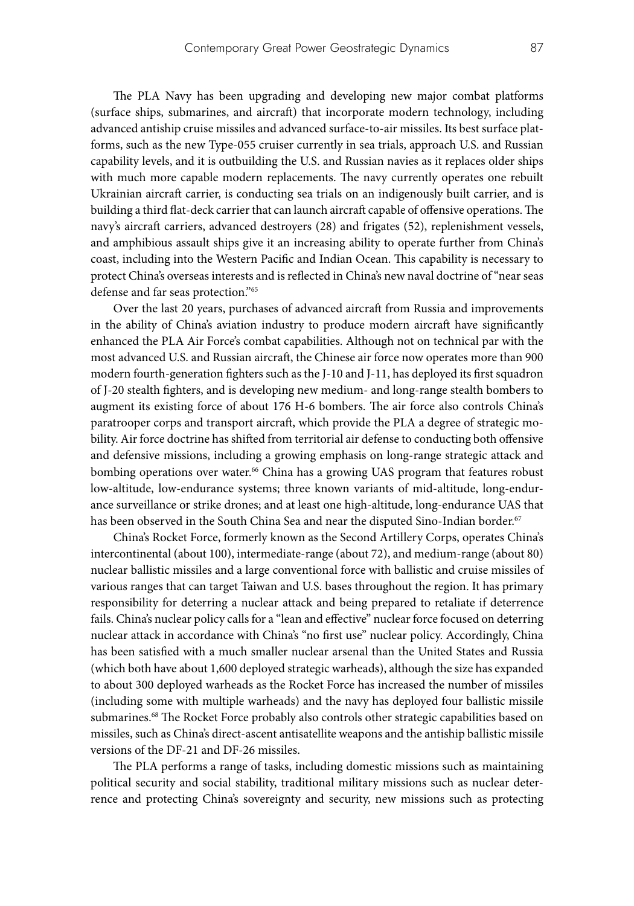The PLA Navy has been upgrading and developing new major combat platforms (surface ships, submarines, and aircraft) that incorporate modern technology, including advanced antiship cruise missiles and advanced surface-to-air missiles. Its best surface platforms, such as the new Type-055 cruiser currently in sea trials, approach U.S. and Russian capability levels, and it is outbuilding the U.S. and Russian navies as it replaces older ships with much more capable modern replacements. The navy currently operates one rebuilt Ukrainian aircraft carrier, is conducting sea trials on an indigenously built carrier, and is building a third flat-deck carrier that can launch aircraft capable of offensive operations. The navy's aircraft carriers, advanced destroyers (28) and frigates (52), replenishment vessels, and amphibious assault ships give it an increasing ability to operate further from China's coast, including into the Western Pacific and Indian Ocean. This capability is necessary to protect China's overseas interests and is reflected in China's new naval doctrine of "near seas defense and far seas protection."65

Over the last 20 years, purchases of advanced aircraft from Russia and improvements in the ability of China's aviation industry to produce modern aircraft have significantly enhanced the PLA Air Force's combat capabilities. Although not on technical par with the most advanced U.S. and Russian aircraft, the Chinese air force now operates more than 900 modern fourth-generation fighters such as the J-10 and J-11, has deployed its first squadron of J-20 stealth fighters, and is developing new medium- and long-range stealth bombers to augment its existing force of about 176 H-6 bombers. The air force also controls China's paratrooper corps and transport aircraft, which provide the PLA a degree of strategic mobility. Air force doctrine has shifted from territorial air defense to conducting both offensive and defensive missions, including a growing emphasis on long-range strategic attack and bombing operations over water.<sup>66</sup> China has a growing UAS program that features robust low-altitude, low-endurance systems; three known variants of mid-altitude, long-endurance surveillance or strike drones; and at least one high-altitude, long-endurance UAS that has been observed in the South China Sea and near the disputed Sino-Indian border.<sup>67</sup>

China's Rocket Force, formerly known as the Second Artillery Corps, operates China's intercontinental (about 100), intermediate-range (about 72), and medium-range (about 80) nuclear ballistic missiles and a large conventional force with ballistic and cruise missiles of various ranges that can target Taiwan and U.S. bases throughout the region. It has primary responsibility for deterring a nuclear attack and being prepared to retaliate if deterrence fails. China's nuclear policy calls for a "lean and effective" nuclear force focused on deterring nuclear attack in accordance with China's "no first use" nuclear policy. Accordingly, China has been satisfied with a much smaller nuclear arsenal than the United States and Russia (which both have about 1,600 deployed strategic warheads), although the size has expanded to about 300 deployed warheads as the Rocket Force has increased the number of missiles (including some with multiple warheads) and the navy has deployed four ballistic missile submarines.<sup>68</sup> The Rocket Force probably also controls other strategic capabilities based on missiles, such as China's direct-ascent antisatellite weapons and the antiship ballistic missile versions of the DF-21 and DF-26 missiles.

The PLA performs a range of tasks, including domestic missions such as maintaining political security and social stability, traditional military missions such as nuclear deterrence and protecting China's sovereignty and security, new missions such as protecting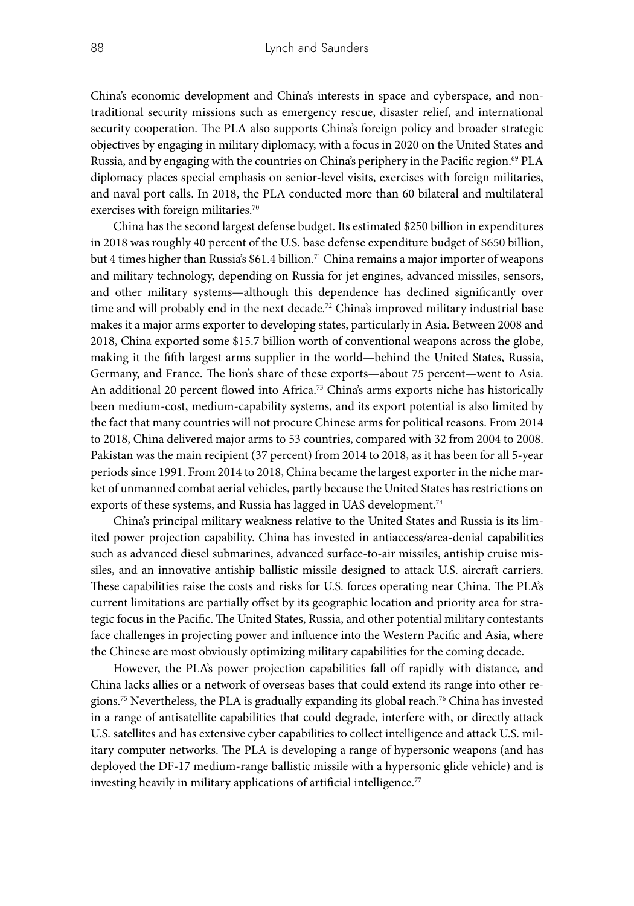China's economic development and China's interests in space and cyberspace, and nontraditional security missions such as emergency rescue, disaster relief, and international security cooperation. The PLA also supports China's foreign policy and broader strategic objectives by engaging in military diplomacy, with a focus in 2020 on the United States and Russia, and by engaging with the countries on China's periphery in the Pacific region.<sup>69</sup> PLA diplomacy places special emphasis on senior-level visits, exercises with foreign militaries, and naval port calls. In 2018, the PLA conducted more than 60 bilateral and multilateral exercises with foreign militaries.<sup>70</sup>

China has the second largest defense budget. Its estimated \$250 billion in expenditures in 2018 was roughly 40 percent of the U.S. base defense expenditure budget of \$650 billion, but 4 times higher than Russia's \$61.4 billion.<sup>71</sup> China remains a major importer of weapons and military technology, depending on Russia for jet engines, advanced missiles, sensors, and other military systems—although this dependence has declined significantly over time and will probably end in the next decade.<sup>72</sup> China's improved military industrial base makes it a major arms exporter to developing states, particularly in Asia. Between 2008 and 2018, China exported some \$15.7 billion worth of conventional weapons across the globe, making it the fifth largest arms supplier in the world—behind the United States, Russia, Germany, and France. The lion's share of these exports—about 75 percent—went to Asia. An additional 20 percent flowed into Africa.73 China's arms exports niche has historically been medium-cost, medium-capability systems, and its export potential is also limited by the fact that many countries will not procure Chinese arms for political reasons. From 2014 to 2018, China delivered major arms to 53 countries, compared with 32 from 2004 to 2008. Pakistan was the main recipient (37 percent) from 2014 to 2018, as it has been for all 5-year periods since 1991. From 2014 to 2018, China became the largest exporter in the niche market of unmanned combat aerial vehicles, partly because the United States has restrictions on exports of these systems, and Russia has lagged in UAS development.<sup>74</sup>

China's principal military weakness relative to the United States and Russia is its limited power projection capability. China has invested in antiaccess/area-denial capabilities such as advanced diesel submarines, advanced surface-to-air missiles, antiship cruise missiles, and an innovative antiship ballistic missile designed to attack U.S. aircraft carriers. These capabilities raise the costs and risks for U.S. forces operating near China. The PLA's current limitations are partially offset by its geographic location and priority area for strategic focus in the Pacific. The United States, Russia, and other potential military contestants face challenges in projecting power and influence into the Western Pacific and Asia, where the Chinese are most obviously optimizing military capabilities for the coming decade.

However, the PLA's power projection capabilities fall off rapidly with distance, and China lacks allies or a network of overseas bases that could extend its range into other regions.75 Nevertheless, the PLA is gradually expanding its global reach.76 China has invested in a range of antisatellite capabilities that could degrade, interfere with, or directly attack U.S. satellites and has extensive cyber capabilities to collect intelligence and attack U.S. military computer networks. The PLA is developing a range of hypersonic weapons (and has deployed the DF-17 medium-range ballistic missile with a hypersonic glide vehicle) and is investing heavily in military applications of artificial intelligence.<sup>77</sup>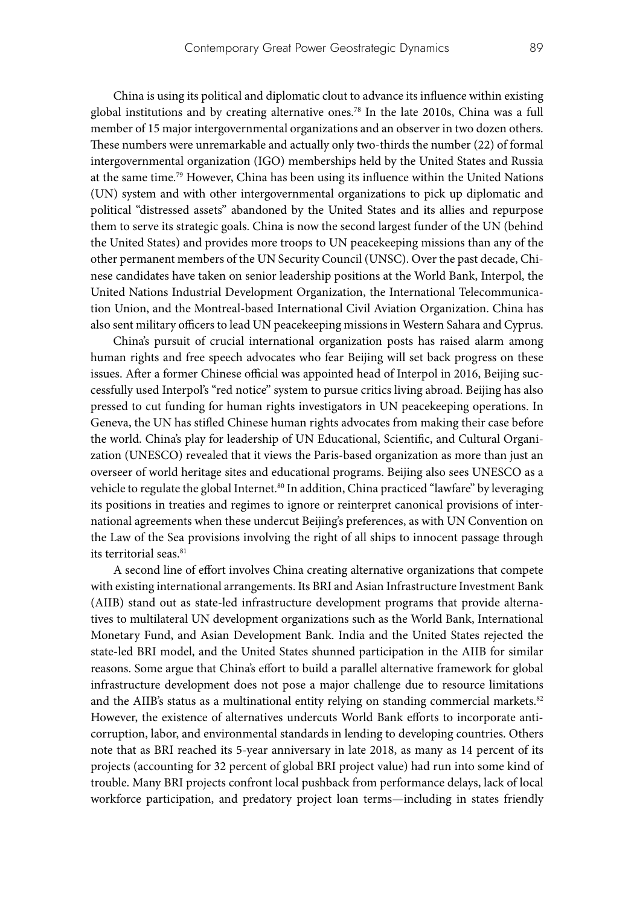China is using its political and diplomatic clout to advance its influence within existing global institutions and by creating alternative ones.78 In the late 2010s, China was a full member of 15 major intergovernmental organizations and an observer in two dozen others. These numbers were unremarkable and actually only two-thirds the number (22) of formal intergovernmental organization (IGO) memberships held by the United States and Russia at the same time.<sup>79</sup> However, China has been using its influence within the United Nations (UN) system and with other intergovernmental organizations to pick up diplomatic and political "distressed assets" abandoned by the United States and its allies and repurpose them to serve its strategic goals. China is now the second largest funder of the UN (behind the United States) and provides more troops to UN peacekeeping missions than any of the other permanent members of the UN Security Council (UNSC). Over the past decade, Chinese candidates have taken on senior leadership positions at the World Bank, Interpol, the United Nations Industrial Development Organization, the International Telecommunication Union, and the Montreal-based International Civil Aviation Organization. China has also sent military officers to lead UN peacekeeping missions in Western Sahara and Cyprus.

China's pursuit of crucial international organization posts has raised alarm among human rights and free speech advocates who fear Beijing will set back progress on these issues. After a former Chinese official was appointed head of Interpol in 2016, Beijing successfully used Interpol's "red notice" system to pursue critics living abroad. Beijing has also pressed to cut funding for human rights investigators in UN peacekeeping operations. In Geneva, the UN has stifled Chinese human rights advocates from making their case before the world. China's play for leadership of UN Educational, Scientific, and Cultural Organization (UNESCO) revealed that it views the Paris-based organization as more than just an overseer of world heritage sites and educational programs. Beijing also sees UNESCO as a vehicle to regulate the global Internet.<sup>80</sup> In addition, China practiced "lawfare" by leveraging its positions in treaties and regimes to ignore or reinterpret canonical provisions of international agreements when these undercut Beijing's preferences, as with UN Convention on the Law of the Sea provisions involving the right of all ships to innocent passage through its territorial seas.<sup>81</sup>

A second line of effort involves China creating alternative organizations that compete with existing international arrangements. Its BRI and Asian Infrastructure Investment Bank (AIIB) stand out as state-led infrastructure development programs that provide alternatives to multilateral UN development organizations such as the World Bank, International Monetary Fund, and Asian Development Bank. India and the United States rejected the state-led BRI model, and the United States shunned participation in the AIIB for similar reasons. Some argue that China's effort to build a parallel alternative framework for global infrastructure development does not pose a major challenge due to resource limitations and the AIIB's status as a multinational entity relying on standing commercial markets.<sup>82</sup> However, the existence of alternatives undercuts World Bank efforts to incorporate anticorruption, labor, and environmental standards in lending to developing countries. Others note that as BRI reached its 5-year anniversary in late 2018, as many as 14 percent of its projects (accounting for 32 percent of global BRI project value) had run into some kind of trouble. Many BRI projects confront local pushback from performance delays, lack of local workforce participation, and predatory project loan terms—including in states friendly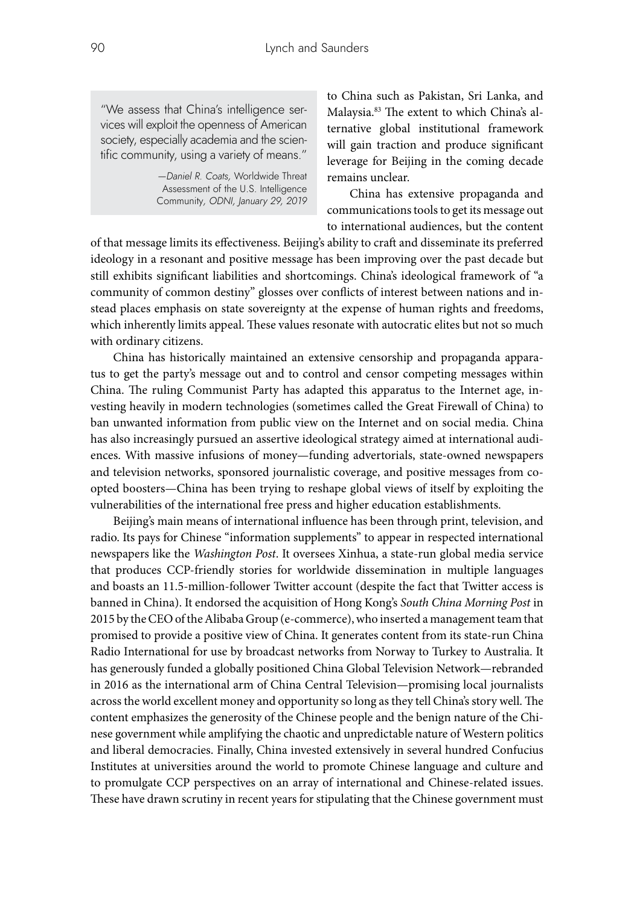"We assess that China's intelligence services will exploit the openness of American society, especially academia and the scientific community, using a variety of means."

> *—Daniel R. Coats,* Worldwide Threat Assessment of the U.S. Intelligence Community*, ODNI, January 29, 2019*

to China such as Pakistan, Sri Lanka, and Malaysia.83 The extent to which China's alternative global institutional framework will gain traction and produce significant leverage for Beijing in the coming decade remains unclear.

China has extensive propaganda and communications tools to get its message out to international audiences, but the content

of that message limits its effectiveness. Beijing's ability to craft and disseminate its preferred ideology in a resonant and positive message has been improving over the past decade but still exhibits significant liabilities and shortcomings. China's ideological framework of "a community of common destiny" glosses over conflicts of interest between nations and instead places emphasis on state sovereignty at the expense of human rights and freedoms, which inherently limits appeal. These values resonate with autocratic elites but not so much with ordinary citizens.

China has historically maintained an extensive censorship and propaganda apparatus to get the party's message out and to control and censor competing messages within China. The ruling Communist Party has adapted this apparatus to the Internet age, investing heavily in modern technologies (sometimes called the Great Firewall of China) to ban unwanted information from public view on the Internet and on social media. China has also increasingly pursued an assertive ideological strategy aimed at international audiences. With massive infusions of money—funding advertorials, state-owned newspapers and television networks, sponsored journalistic coverage, and positive messages from coopted boosters—China has been trying to reshape global views of itself by exploiting the vulnerabilities of the international free press and higher education establishments.

Beijing's main means of international influence has been through print, television, and radio. Its pays for Chinese "information supplements" to appear in respected international newspapers like the *Washington Post*. It oversees Xinhua, a state-run global media service that produces CCP-friendly stories for worldwide dissemination in multiple languages and boasts an 11.5-million-follower Twitter account (despite the fact that Twitter access is banned in China). It endorsed the acquisition of Hong Kong's *South China Morning Post* in 2015 by the CEO of the Alibaba Group (e-commerce), who inserted a management team that promised to provide a positive view of China. It generates content from its state-run China Radio International for use by broadcast networks from Norway to Turkey to Australia. It has generously funded a globally positioned China Global Television Network—rebranded in 2016 as the international arm of China Central Television—promising local journalists across the world excellent money and opportunity so long as they tell China's story well. The content emphasizes the generosity of the Chinese people and the benign nature of the Chinese government while amplifying the chaotic and unpredictable nature of Western politics and liberal democracies. Finally, China invested extensively in several hundred Confucius Institutes at universities around the world to promote Chinese language and culture and to promulgate CCP perspectives on an array of international and Chinese-related issues. These have drawn scrutiny in recent years for stipulating that the Chinese government must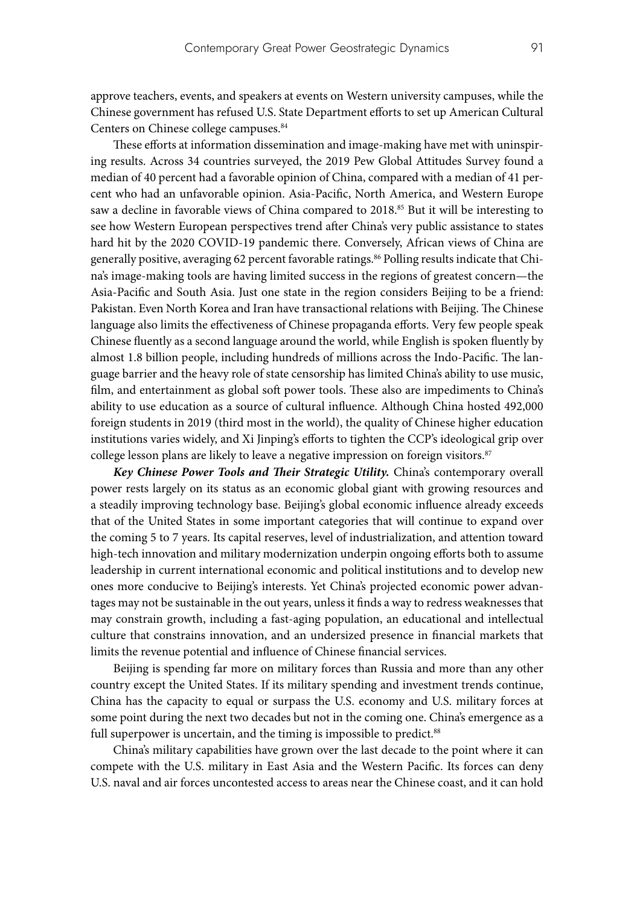approve teachers, events, and speakers at events on Western university campuses, while the Chinese government has refused U.S. State Department efforts to set up American Cultural Centers on Chinese college campuses.<sup>84</sup>

These efforts at information dissemination and image-making have met with uninspiring results. Across 34 countries surveyed, the 2019 Pew Global Attitudes Survey found a median of 40 percent had a favorable opinion of China, compared with a median of 41 percent who had an unfavorable opinion. Asia-Pacific, North America, and Western Europe saw a decline in favorable views of China compared to 2018.<sup>85</sup> But it will be interesting to see how Western European perspectives trend after China's very public assistance to states hard hit by the 2020 COVID-19 pandemic there. Conversely, African views of China are generally positive, averaging 62 percent favorable ratings.<sup>86</sup> Polling results indicate that China's image-making tools are having limited success in the regions of greatest concern—the Asia-Pacific and South Asia. Just one state in the region considers Beijing to be a friend: Pakistan. Even North Korea and Iran have transactional relations with Beijing. The Chinese language also limits the effectiveness of Chinese propaganda efforts. Very few people speak Chinese fluently as a second language around the world, while English is spoken fluently by almost 1.8 billion people, including hundreds of millions across the Indo-Pacific. The language barrier and the heavy role of state censorship has limited China's ability to use music, film, and entertainment as global soft power tools. These also are impediments to China's ability to use education as a source of cultural influence. Although China hosted 492,000 foreign students in 2019 (third most in the world), the quality of Chinese higher education institutions varies widely, and Xi Jinping's efforts to tighten the CCP's ideological grip over college lesson plans are likely to leave a negative impression on foreign visitors.<sup>87</sup>

*Key Chinese Power Tools and Their Strategic Utility.* China's contemporary overall power rests largely on its status as an economic global giant with growing resources and a steadily improving technology base. Beijing's global economic influence already exceeds that of the United States in some important categories that will continue to expand over the coming 5 to 7 years. Its capital reserves, level of industrialization, and attention toward high-tech innovation and military modernization underpin ongoing efforts both to assume leadership in current international economic and political institutions and to develop new ones more conducive to Beijing's interests. Yet China's projected economic power advantages may not be sustainable in the out years, unless it finds a way to redress weaknesses that may constrain growth, including a fast-aging population, an educational and intellectual culture that constrains innovation, and an undersized presence in financial markets that limits the revenue potential and influence of Chinese financial services.

Beijing is spending far more on military forces than Russia and more than any other country except the United States. If its military spending and investment trends continue, China has the capacity to equal or surpass the U.S. economy and U.S. military forces at some point during the next two decades but not in the coming one. China's emergence as a full superpower is uncertain, and the timing is impossible to predict.<sup>88</sup>

China's military capabilities have grown over the last decade to the point where it can compete with the U.S. military in East Asia and the Western Pacific. Its forces can deny U.S. naval and air forces uncontested access to areas near the Chinese coast, and it can hold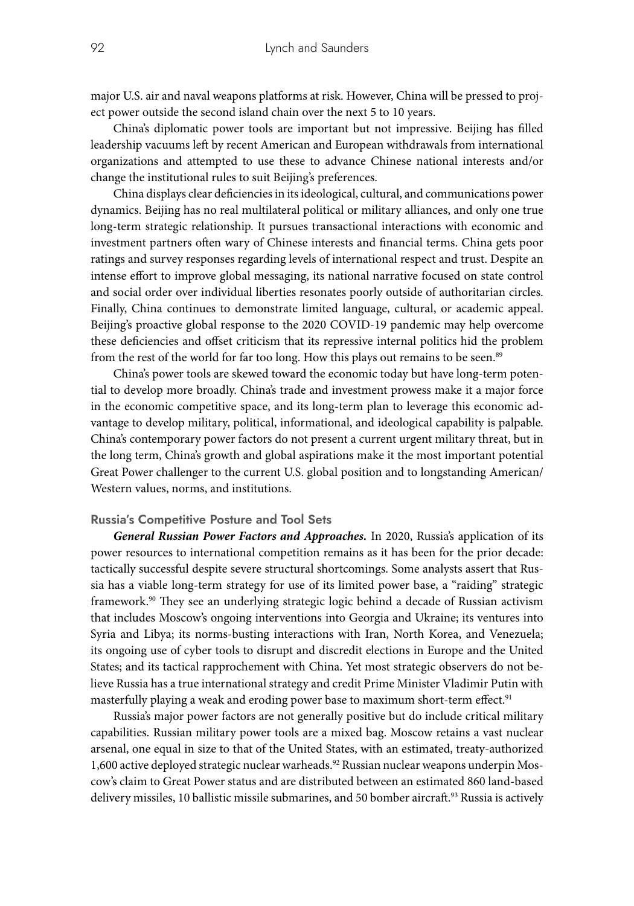major U.S. air and naval weapons platforms at risk. However, China will be pressed to project power outside the second island chain over the next 5 to 10 years.

China's diplomatic power tools are important but not impressive. Beijing has filled leadership vacuums left by recent American and European withdrawals from international organizations and attempted to use these to advance Chinese national interests and/or change the institutional rules to suit Beijing's preferences.

China displays clear deficiencies in its ideological, cultural, and communications power dynamics. Beijing has no real multilateral political or military alliances, and only one true long-term strategic relationship. It pursues transactional interactions with economic and investment partners often wary of Chinese interests and financial terms. China gets poor ratings and survey responses regarding levels of international respect and trust. Despite an intense effort to improve global messaging, its national narrative focused on state control and social order over individual liberties resonates poorly outside of authoritarian circles. Finally, China continues to demonstrate limited language, cultural, or academic appeal. Beijing's proactive global response to the 2020 COVID-19 pandemic may help overcome these deficiencies and offset criticism that its repressive internal politics hid the problem from the rest of the world for far too long. How this plays out remains to be seen.<sup>89</sup>

China's power tools are skewed toward the economic today but have long-term potential to develop more broadly. China's trade and investment prowess make it a major force in the economic competitive space, and its long-term plan to leverage this economic advantage to develop military, political, informational, and ideological capability is palpable. China's contemporary power factors do not present a current urgent military threat, but in the long term, China's growth and global aspirations make it the most important potential Great Power challenger to the current U.S. global position and to longstanding American/ Western values, norms, and institutions.

#### **Russia's Competitive Posture and Tool Sets**

*General Russian Power Factors and Approaches.* In 2020, Russia's application of its power resources to international competition remains as it has been for the prior decade: tactically successful despite severe structural shortcomings. Some analysts assert that Russia has a viable long-term strategy for use of its limited power base, a "raiding" strategic framework.90 They see an underlying strategic logic behind a decade of Russian activism that includes Moscow's ongoing interventions into Georgia and Ukraine; its ventures into Syria and Libya; its norms-busting interactions with Iran, North Korea, and Venezuela; its ongoing use of cyber tools to disrupt and discredit elections in Europe and the United States; and its tactical rapprochement with China. Yet most strategic observers do not believe Russia has a true international strategy and credit Prime Minister Vladimir Putin with masterfully playing a weak and eroding power base to maximum short-term effect.<sup>91</sup>

Russia's major power factors are not generally positive but do include critical military capabilities. Russian military power tools are a mixed bag. Moscow retains a vast nuclear arsenal, one equal in size to that of the United States, with an estimated, treaty-authorized 1,600 active deployed strategic nuclear warheads.<sup>92</sup> Russian nuclear weapons underpin Moscow's claim to Great Power status and are distributed between an estimated 860 land-based delivery missiles, 10 ballistic missile submarines, and 50 bomber aircraft.<sup>93</sup> Russia is actively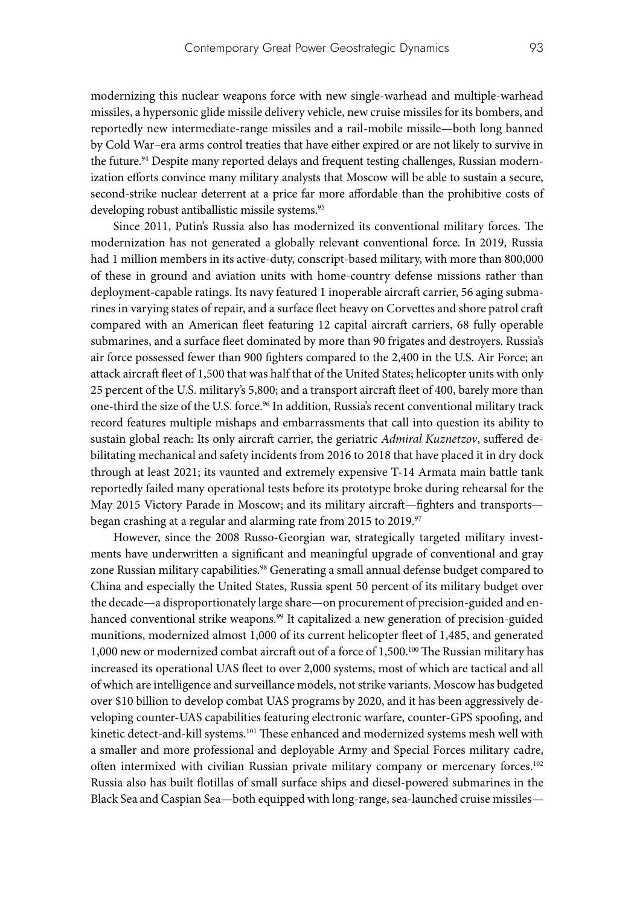modernizing this nuclear weapons force with new single-warhead and multiple-warhead missiles, a hypersonic glide missile delivery vehicle, new cruise missiles for its bombers, and reportedly new intermediate-range missiles and a rail-mobile missile—both long banned by Cold War–era arms control treaties that have either expired or are not likely to survive in the future.<sup>94</sup> Despite many reported delays and frequent testing challenges, Russian modernization efforts convince many military analysts that Moscow will be able to sustain a secure, second-strike nuclear deterrent at a price far more affordable than the prohibitive costs of developing robust antiballistic missile systems.<sup>95</sup>

Since 2011, Putin's Russia also has modernized its conventional military forces. The modernization has not generated a globally relevant conventional force. In 2019, Russia had 1 million members in its active-duty, conscript-based military, with more than 800,000 of these in ground and aviation units with home-country defense missions rather than deployment-capable ratings. Its navy featured 1 inoperable aircraft carrier, 56 aging submarines in varying states of repair, and a surface fleet heavy on Corvettes and shore patrol craft compared with an American fleet featuring 12 capital aircraft carriers, 68 fully operable submarines, and a surface fleet dominated by more than 90 frigates and destroyers. Russia's air force possessed fewer than 900 fighters compared to the 2,400 in the U.S. Air Force; an attack aircraft fleet of 1,500 that was half that of the United States; helicopter units with only 25 percent of the U.S. military's 5,800; and a transport aircraft fleet of 400, barely more than one-third the size of the U.S. force.<sup>96</sup> In addition, Russia's recent conventional military track record features multiple mishaps and embarrassments that call into question its ability to sustain global reach: Its only aircraft carrier, the geriatric *Admiral Kuznetzov*, suffered debilitating mechanical and safety incidents from 2016 to 2018 that have placed it in dry dock through at least 2021; its vaunted and extremely expensive T-14 Armata main battle tank reportedly failed many operational tests before its prototype broke during rehearsal for the May 2015 Victory Parade in Moscow; and its military aircraft—fighters and transports began crashing at a regular and alarming rate from 2015 to 2019.<sup>97</sup>

However, since the 2008 Russo-Georgian war, strategically targeted military investments have underwritten a significant and meaningful upgrade of conventional and gray zone Russian military capabilities.<sup>98</sup> Generating a small annual defense budget compared to China and especially the United States, Russia spent 50 percent of its military budget over the decade—a disproportionately large share—on procurement of precision-guided and enhanced conventional strike weapons.<sup>99</sup> It capitalized a new generation of precision-guided munitions, modernized almost 1,000 of its current helicopter fleet of 1,485, and generated 1,000 new or modernized combat aircraft out of a force of 1,500.100 The Russian military has increased its operational UAS fleet to over 2,000 systems, most of which are tactical and all of which are intelligence and surveillance models, not strike variants. Moscow has budgeted over \$10 billion to develop combat UAS programs by 2020, and it has been aggressively developing counter-UAS capabilities featuring electronic warfare, counter-GPS spoofing, and kinetic detect-and-kill systems.<sup>101</sup> These enhanced and modernized systems mesh well with a smaller and more professional and deployable Army and Special Forces military cadre, often intermixed with civilian Russian private military company or mercenary forces.102 Russia also has built flotillas of small surface ships and diesel-powered submarines in the Black Sea and Caspian Sea—both equipped with long-range, sea-launched cruise missiles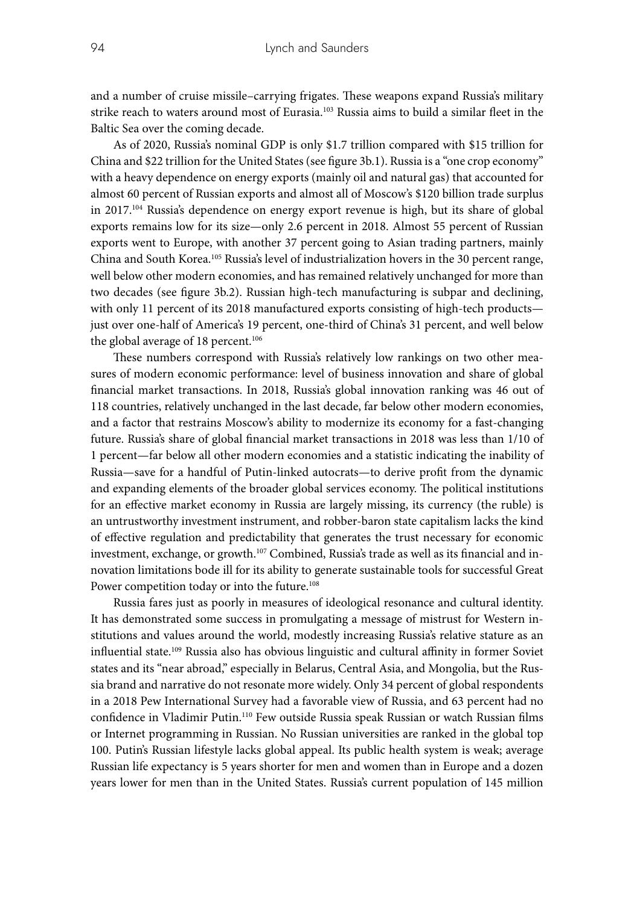and a number of cruise missile–carrying frigates. These weapons expand Russia's military strike reach to waters around most of Eurasia.103 Russia aims to build a similar fleet in the Baltic Sea over the coming decade.

As of 2020, Russia's nominal GDP is only \$1.7 trillion compared with \$15 trillion for China and \$22 trillion for the United States (see figure 3b.1). Russia is a "one crop economy" with a heavy dependence on energy exports (mainly oil and natural gas) that accounted for almost 60 percent of Russian exports and almost all of Moscow's \$120 billion trade surplus in  $2017^{104}$  Russia's dependence on energy export revenue is high, but its share of global exports remains low for its size—only 2.6 percent in 2018. Almost 55 percent of Russian exports went to Europe, with another 37 percent going to Asian trading partners, mainly China and South Korea.105 Russia's level of industrialization hovers in the 30 percent range, well below other modern economies, and has remained relatively unchanged for more than two decades (see figure 3b.2). Russian high-tech manufacturing is subpar and declining, with only 11 percent of its 2018 manufactured exports consisting of high-tech products just over one-half of America's 19 percent, one-third of China's 31 percent, and well below the global average of 18 percent.<sup>106</sup>

These numbers correspond with Russia's relatively low rankings on two other measures of modern economic performance: level of business innovation and share of global financial market transactions. In 2018, Russia's global innovation ranking was 46 out of 118 countries, relatively unchanged in the last decade, far below other modern economies, and a factor that restrains Moscow's ability to modernize its economy for a fast-changing future. Russia's share of global financial market transactions in 2018 was less than 1/10 of 1 percent—far below all other modern economies and a statistic indicating the inability of Russia—save for a handful of Putin-linked autocrats—to derive profit from the dynamic and expanding elements of the broader global services economy. The political institutions for an effective market economy in Russia are largely missing, its currency (the ruble) is an untrustworthy investment instrument, and robber-baron state capitalism lacks the kind of effective regulation and predictability that generates the trust necessary for economic investment, exchange, or growth.<sup>107</sup> Combined, Russia's trade as well as its financial and innovation limitations bode ill for its ability to generate sustainable tools for successful Great Power competition today or into the future.<sup>108</sup>

Russia fares just as poorly in measures of ideological resonance and cultural identity. It has demonstrated some success in promulgating a message of mistrust for Western institutions and values around the world, modestly increasing Russia's relative stature as an influential state.109 Russia also has obvious linguistic and cultural affinity in former Soviet states and its "near abroad," especially in Belarus, Central Asia, and Mongolia, but the Russia brand and narrative do not resonate more widely. Only 34 percent of global respondents in a 2018 Pew International Survey had a favorable view of Russia, and 63 percent had no confidence in Vladimir Putin.110 Few outside Russia speak Russian or watch Russian films or Internet programming in Russian. No Russian universities are ranked in the global top 100. Putin's Russian lifestyle lacks global appeal. Its public health system is weak; average Russian life expectancy is 5 years shorter for men and women than in Europe and a dozen years lower for men than in the United States. Russia's current population of 145 million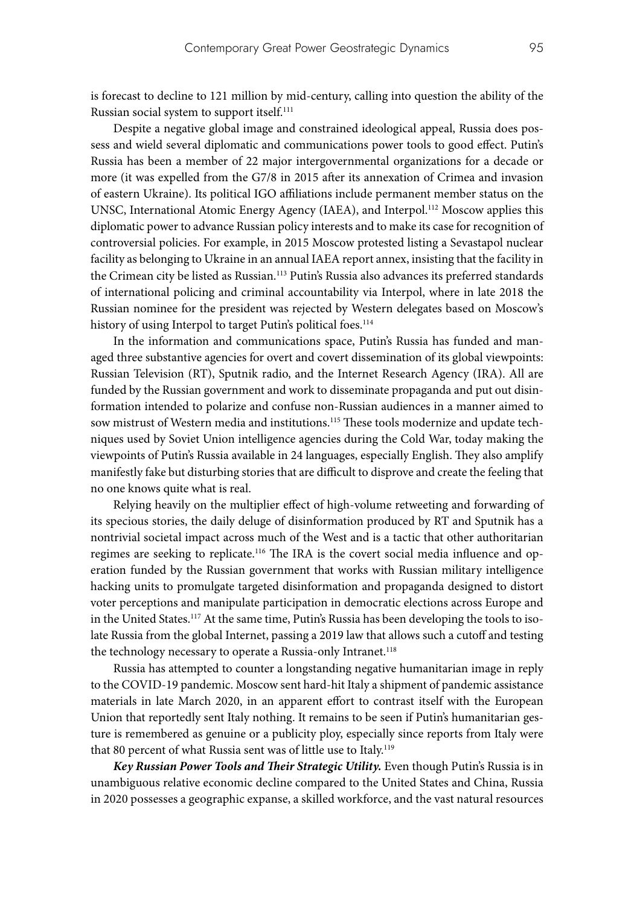is forecast to decline to 121 million by mid-century, calling into question the ability of the Russian social system to support itself.111

Despite a negative global image and constrained ideological appeal, Russia does possess and wield several diplomatic and communications power tools to good effect. Putin's Russia has been a member of 22 major intergovernmental organizations for a decade or more (it was expelled from the G7/8 in 2015 after its annexation of Crimea and invasion of eastern Ukraine). Its political IGO affiliations include permanent member status on the UNSC, International Atomic Energy Agency (IAEA), and Interpol.112 Moscow applies this diplomatic power to advance Russian policy interests and to make its case for recognition of controversial policies. For example, in 2015 Moscow protested listing a Sevastapol nuclear facility as belonging to Ukraine in an annual IAEA report annex, insisting that the facility in the Crimean city be listed as Russian.<sup>113</sup> Putin's Russia also advances its preferred standards of international policing and criminal accountability via Interpol, where in late 2018 the Russian nominee for the president was rejected by Western delegates based on Moscow's history of using Interpol to target Putin's political foes.<sup>114</sup>

In the information and communications space, Putin's Russia has funded and managed three substantive agencies for overt and covert dissemination of its global viewpoints: Russian Television (RT), Sputnik radio, and the Internet Research Agency (IRA). All are funded by the Russian government and work to disseminate propaganda and put out disinformation intended to polarize and confuse non-Russian audiences in a manner aimed to sow mistrust of Western media and institutions.<sup>115</sup> These tools modernize and update techniques used by Soviet Union intelligence agencies during the Cold War, today making the viewpoints of Putin's Russia available in 24 languages, especially English. They also amplify manifestly fake but disturbing stories that are difficult to disprove and create the feeling that no one knows quite what is real.

Relying heavily on the multiplier effect of high-volume retweeting and forwarding of its specious stories, the daily deluge of disinformation produced by RT and Sputnik has a nontrivial societal impact across much of the West and is a tactic that other authoritarian regimes are seeking to replicate.116 The IRA is the covert social media influence and operation funded by the Russian government that works with Russian military intelligence hacking units to promulgate targeted disinformation and propaganda designed to distort voter perceptions and manipulate participation in democratic elections across Europe and in the United States.<sup>117</sup> At the same time, Putin's Russia has been developing the tools to isolate Russia from the global Internet, passing a 2019 law that allows such a cutoff and testing the technology necessary to operate a Russia-only Intranet.<sup>118</sup>

Russia has attempted to counter a longstanding negative humanitarian image in reply to the COVID-19 pandemic. Moscow sent hard-hit Italy a shipment of pandemic assistance materials in late March 2020, in an apparent effort to contrast itself with the European Union that reportedly sent Italy nothing. It remains to be seen if Putin's humanitarian gesture is remembered as genuine or a publicity ploy, especially since reports from Italy were that 80 percent of what Russia sent was of little use to Italy.<sup>119</sup>

*Key Russian Power Tools and Their Strategic Utility.* Even though Putin's Russia is in unambiguous relative economic decline compared to the United States and China, Russia in 2020 possesses a geographic expanse, a skilled workforce, and the vast natural resources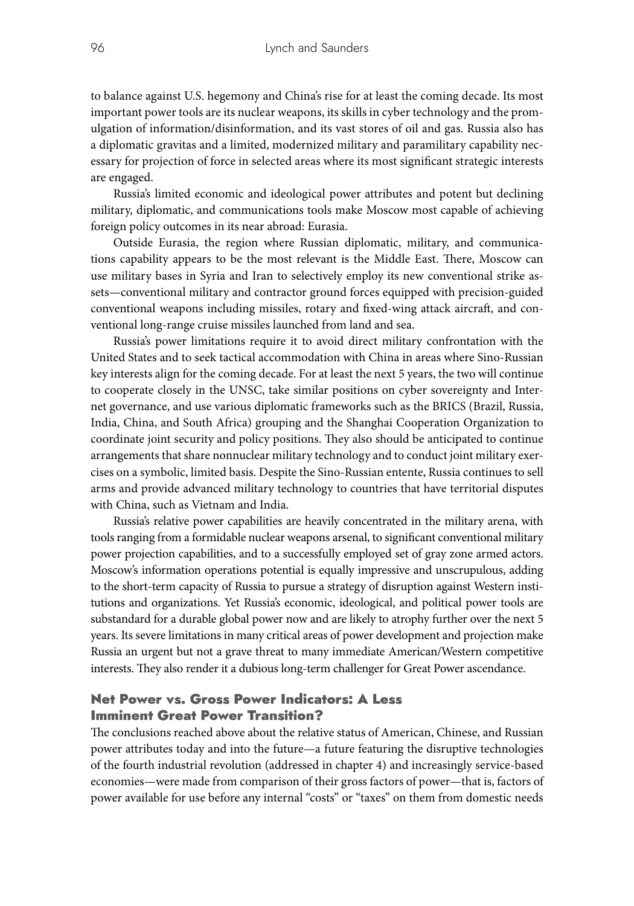to balance against U.S. hegemony and China's rise for at least the coming decade. Its most important power tools are its nuclear weapons, its skills in cyber technology and the promulgation of information/disinformation, and its vast stores of oil and gas. Russia also has a diplomatic gravitas and a limited, modernized military and paramilitary capability necessary for projection of force in selected areas where its most significant strategic interests are engaged.

Russia's limited economic and ideological power attributes and potent but declining military, diplomatic, and communications tools make Moscow most capable of achieving foreign policy outcomes in its near abroad: Eurasia.

Outside Eurasia, the region where Russian diplomatic, military, and communications capability appears to be the most relevant is the Middle East. There, Moscow can use military bases in Syria and Iran to selectively employ its new conventional strike assets—conventional military and contractor ground forces equipped with precision-guided conventional weapons including missiles, rotary and fixed-wing attack aircraft, and conventional long-range cruise missiles launched from land and sea.

Russia's power limitations require it to avoid direct military confrontation with the United States and to seek tactical accommodation with China in areas where Sino-Russian key interests align for the coming decade. For at least the next 5 years, the two will continue to cooperate closely in the UNSC, take similar positions on cyber sovereignty and Internet governance, and use various diplomatic frameworks such as the BRICS (Brazil, Russia, India, China, and South Africa) grouping and the Shanghai Cooperation Organization to coordinate joint security and policy positions. They also should be anticipated to continue arrangements that share nonnuclear military technology and to conduct joint military exercises on a symbolic, limited basis. Despite the Sino-Russian entente, Russia continues to sell arms and provide advanced military technology to countries that have territorial disputes with China, such as Vietnam and India.

Russia's relative power capabilities are heavily concentrated in the military arena, with tools ranging from a formidable nuclear weapons arsenal, to significant conventional military power projection capabilities, and to a successfully employed set of gray zone armed actors. Moscow's information operations potential is equally impressive and unscrupulous, adding to the short-term capacity of Russia to pursue a strategy of disruption against Western institutions and organizations. Yet Russia's economic, ideological, and political power tools are substandard for a durable global power now and are likely to atrophy further over the next 5 years. Its severe limitations in many critical areas of power development and projection make Russia an urgent but not a grave threat to many immediate American/Western competitive interests. They also render it a dubious long-term challenger for Great Power ascendance.

# Net Power vs. Gross Power Indicators: A Less Imminent Great Power Transition?

The conclusions reached above about the relative status of American, Chinese, and Russian power attributes today and into the future—a future featuring the disruptive technologies of the fourth industrial revolution (addressed in chapter 4) and increasingly service-based economies—were made from comparison of their gross factors of power—that is, factors of power available for use before any internal "costs" or "taxes" on them from domestic needs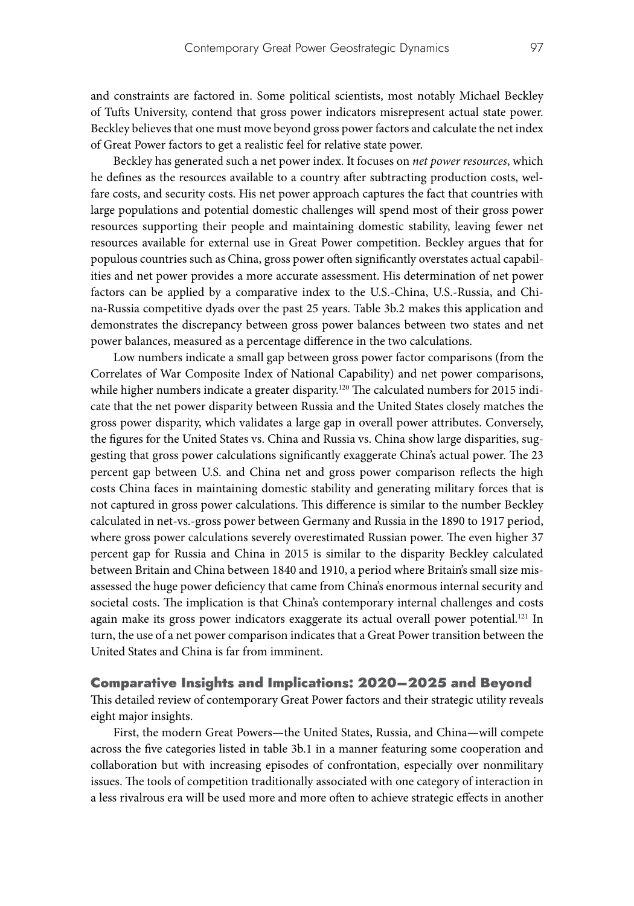and constraints are factored in. Some political scientists, most notably Michael Beckley of Tufts University, contend that gross power indicators misrepresent actual state power. Beckley believes that one must move beyond gross power factors and calculate the net index of Great Power factors to get a realistic feel for relative state power.

Beckley has generated such a net power index. It focuses on *net power resources*, which he defines as the resources available to a country after subtracting production costs, welfare costs, and security costs. His net power approach captures the fact that countries with large populations and potential domestic challenges will spend most of their gross power resources supporting their people and maintaining domestic stability, leaving fewer net resources available for external use in Great Power competition. Beckley argues that for populous countries such as China, gross power often significantly overstates actual capabilities and net power provides a more accurate assessment. His determination of net power factors can be applied by a comparative index to the U.S.-China, U.S.-Russia, and China-Russia competitive dyads over the past 25 years. Table 3b.2 makes this application and demonstrates the discrepancy between gross power balances between two states and net power balances, measured as a percentage difference in the two calculations.

Low numbers indicate a small gap between gross power factor comparisons (from the Correlates of War Composite Index of National Capability) and net power comparisons, while higher numbers indicate a greater disparity.<sup>120</sup> The calculated numbers for 2015 indicate that the net power disparity between Russia and the United States closely matches the gross power disparity, which validates a large gap in overall power attributes. Conversely, the figures for the United States vs. China and Russia vs. China show large disparities, suggesting that gross power calculations significantly exaggerate China's actual power. The 23 percent gap between U.S. and China net and gross power comparison reflects the high costs China faces in maintaining domestic stability and generating military forces that is not captured in gross power calculations. This difference is similar to the number Beckley calculated in net-vs.-gross power between Germany and Russia in the 1890 to 1917 period, where gross power calculations severely overestimated Russian power. The even higher 37 percent gap for Russia and China in 2015 is similar to the disparity Beckley calculated between Britain and China between 1840 and 1910, a period where Britain's small size misassessed the huge power deficiency that came from China's enormous internal security and societal costs. The implication is that China's contemporary internal challenges and costs again make its gross power indicators exaggerate its actual overall power potential.<sup>121</sup> In turn, the use of a net power comparison indicates that a Great Power transition between the United States and China is far from imminent.

## Comparative Insights and Implications: 2020–2025 and Beyond

This detailed review of contemporary Great Power factors and their strategic utility reveals eight major insights.

First, the modern Great Powers—the United States, Russia, and China—will compete across the five categories listed in table 3b.1 in a manner featuring some cooperation and collaboration but with increasing episodes of confrontation, especially over nonmilitary issues. The tools of competition traditionally associated with one category of interaction in a less rivalrous era will be used more and more often to achieve strategic effects in another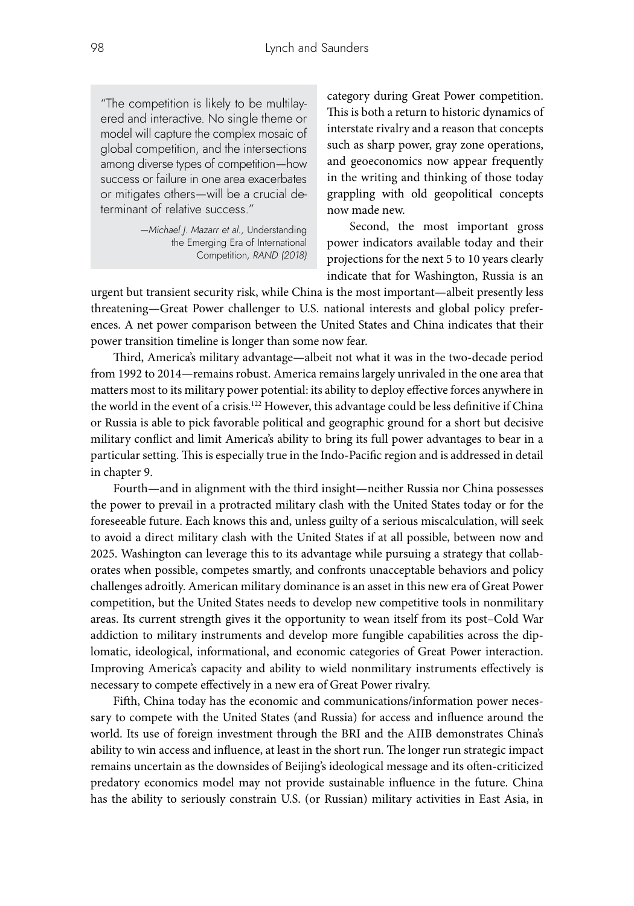"The competition is likely to be multilayered and interactive. No single theme or model will capture the complex mosaic of global competition, and the intersections among diverse types of competition—how success or failure in one area exacerbates or mitigates others—will be a crucial determinant of relative success."

> *—Michael J. Mazarr et al.,* Understanding the Emerging Era of International Competition*, RAND (2018)*

category during Great Power competition. This is both a return to historic dynamics of interstate rivalry and a reason that concepts such as sharp power, gray zone operations, and geoeconomics now appear frequently in the writing and thinking of those today grappling with old geopolitical concepts now made new.

Second, the most important gross power indicators available today and their projections for the next 5 to 10 years clearly indicate that for Washington, Russia is an

urgent but transient security risk, while China is the most important—albeit presently less threatening—Great Power challenger to U.S. national interests and global policy preferences. A net power comparison between the United States and China indicates that their power transition timeline is longer than some now fear.

Third, America's military advantage—albeit not what it was in the two-decade period from 1992 to 2014—remains robust. America remains largely unrivaled in the one area that matters most to its military power potential: its ability to deploy effective forces anywhere in the world in the event of a crisis.<sup>122</sup> However, this advantage could be less definitive if China or Russia is able to pick favorable political and geographic ground for a short but decisive military conflict and limit America's ability to bring its full power advantages to bear in a particular setting. This is especially true in the Indo-Pacific region and is addressed in detail in chapter 9.

Fourth—and in alignment with the third insight—neither Russia nor China possesses the power to prevail in a protracted military clash with the United States today or for the foreseeable future. Each knows this and, unless guilty of a serious miscalculation, will seek to avoid a direct military clash with the United States if at all possible, between now and 2025. Washington can leverage this to its advantage while pursuing a strategy that collaborates when possible, competes smartly, and confronts unacceptable behaviors and policy challenges adroitly. American military dominance is an asset in this new era of Great Power competition, but the United States needs to develop new competitive tools in nonmilitary areas. Its current strength gives it the opportunity to wean itself from its post–Cold War addiction to military instruments and develop more fungible capabilities across the diplomatic, ideological, informational, and economic categories of Great Power interaction. Improving America's capacity and ability to wield nonmilitary instruments effectively is necessary to compete effectively in a new era of Great Power rivalry.

Fifth, China today has the economic and communications/information power necessary to compete with the United States (and Russia) for access and influence around the world. Its use of foreign investment through the BRI and the AIIB demonstrates China's ability to win access and influence, at least in the short run. The longer run strategic impact remains uncertain as the downsides of Beijing's ideological message and its often-criticized predatory economics model may not provide sustainable influence in the future. China has the ability to seriously constrain U.S. (or Russian) military activities in East Asia, in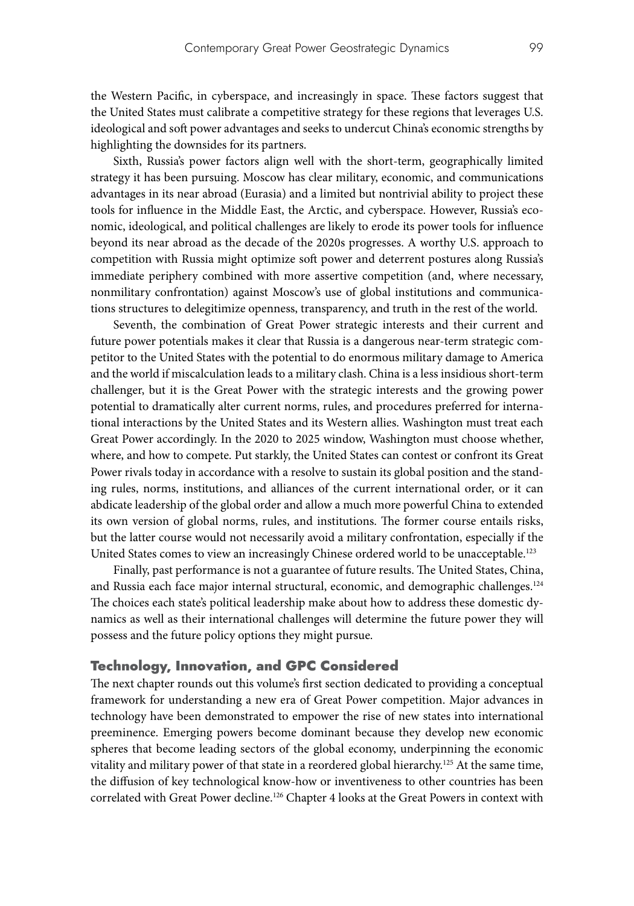the Western Pacific, in cyberspace, and increasingly in space. These factors suggest that the United States must calibrate a competitive strategy for these regions that leverages U.S. ideological and soft power advantages and seeks to undercut China's economic strengths by highlighting the downsides for its partners.

Sixth, Russia's power factors align well with the short-term, geographically limited strategy it has been pursuing. Moscow has clear military, economic, and communications advantages in its near abroad (Eurasia) and a limited but nontrivial ability to project these tools for influence in the Middle East, the Arctic, and cyberspace. However, Russia's economic, ideological, and political challenges are likely to erode its power tools for influence beyond its near abroad as the decade of the 2020s progresses. A worthy U.S. approach to competition with Russia might optimize soft power and deterrent postures along Russia's immediate periphery combined with more assertive competition (and, where necessary, nonmilitary confrontation) against Moscow's use of global institutions and communications structures to delegitimize openness, transparency, and truth in the rest of the world.

Seventh, the combination of Great Power strategic interests and their current and future power potentials makes it clear that Russia is a dangerous near-term strategic competitor to the United States with the potential to do enormous military damage to America and the world if miscalculation leads to a military clash. China is a less insidious short-term challenger, but it is the Great Power with the strategic interests and the growing power potential to dramatically alter current norms, rules, and procedures preferred for international interactions by the United States and its Western allies. Washington must treat each Great Power accordingly. In the 2020 to 2025 window, Washington must choose whether, where, and how to compete. Put starkly, the United States can contest or confront its Great Power rivals today in accordance with a resolve to sustain its global position and the standing rules, norms, institutions, and alliances of the current international order, or it can abdicate leadership of the global order and allow a much more powerful China to extended its own version of global norms, rules, and institutions. The former course entails risks, but the latter course would not necessarily avoid a military confrontation, especially if the United States comes to view an increasingly Chinese ordered world to be unacceptable.<sup>123</sup>

Finally, past performance is not a guarantee of future results. The United States, China, and Russia each face major internal structural, economic, and demographic challenges.<sup>124</sup> The choices each state's political leadership make about how to address these domestic dynamics as well as their international challenges will determine the future power they will possess and the future policy options they might pursue.

### Technology, Innovation, and GPC Considered

The next chapter rounds out this volume's first section dedicated to providing a conceptual framework for understanding a new era of Great Power competition. Major advances in technology have been demonstrated to empower the rise of new states into international preeminence. Emerging powers become dominant because they develop new economic spheres that become leading sectors of the global economy, underpinning the economic vitality and military power of that state in a reordered global hierarchy.125 At the same time, the diffusion of key technological know-how or inventiveness to other countries has been correlated with Great Power decline.126 Chapter 4 looks at the Great Powers in context with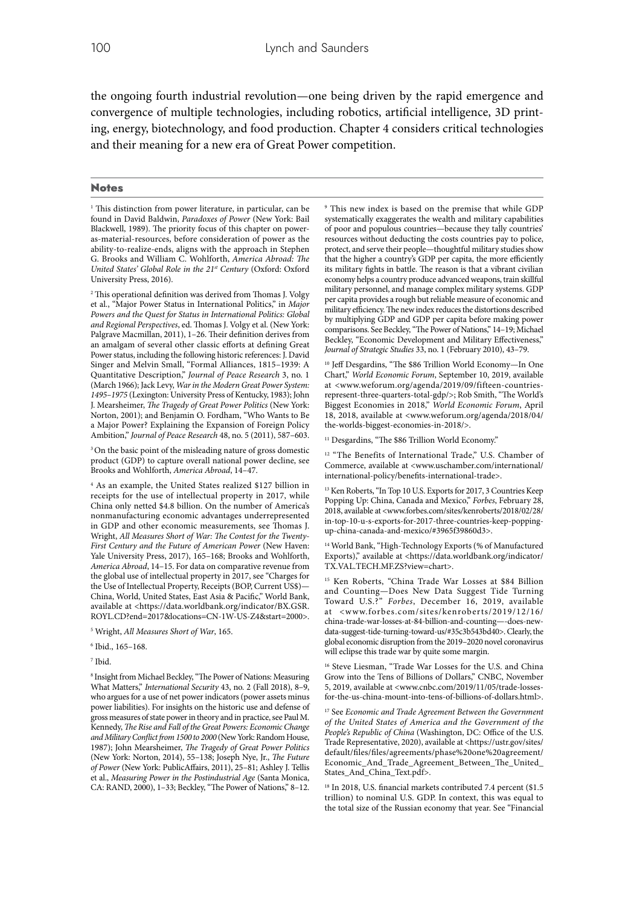the ongoing fourth industrial revolution—one being driven by the rapid emergence and convergence of multiple technologies, including robotics, artificial intelligence, 3D printing, energy, biotechnology, and food production. Chapter 4 considers critical technologies and their meaning for a new era of Great Power competition.

#### **Notes**

<sup>1</sup> This distinction from power literature, in particular, can be found in David Baldwin, *Paradoxes of Power* (New York: Bail Blackwell, 1989). The priority focus of this chapter on poweras-material-resources, before consideration of power as the ability-to-realize-ends, aligns with the approach in Stephen G. Brooks and William C. Wohlforth, *America Abroad: The United States' Global Role in the 21st Century* (Oxford: Oxford University Press, 2016).

2 This operational definition was derived from Thomas J. Volgy et al., "Major Power Status in International Politics," in *Major Powers and the Quest for Status in International Politics: Global and Regional Perspectives*, ed. Thomas J. Volgy et al. (New York: Palgrave Macmillan, 2011), 1–26. Their definition derives from an amalgam of several other classic efforts at defining Great Power status, including the following historic references: J. David Singer and Melvin Small, "Formal Alliances, 1815–1939: A Quantitative Description," *Journal of Peace Research* 3, no. 1 (March 1966); Jack Levy, *War in the Modern Great Power System: 1495–1975* (Lexington: University Press of Kentucky, 1983); John J. Mearsheimer, *The Tragedy of Great Power Politics* (New York: Norton, 2001); and Benjamin O. Fordham, "Who Wants to Be a Major Power? Explaining the Expansion of Foreign Policy Ambition," *Journal of Peace Research* 48, no. 5 (2011), 587–603.

<sup>3</sup> On the basic point of the misleading nature of gross domestic product (GDP) to capture overall national power decline, see Brooks and Wohlforth, *America Abroad*, 14–47.

4 As an example, the United States realized \$127 billion in receipts for the use of intellectual property in 2017, while China only netted \$4.8 billion. On the number of America's nonmanufacturing economic advantages underrepresented in GDP and other economic measurements, see Thomas J. Wright, *All Measures Short of War: The Contest for the Twenty-First Century and the Future of American Power* (New Haven: Yale University Press, 2017), 165–168; Brooks and Wohlforth, *America Abroad*, 14–15. For data on comparative revenue from the global use of intellectual property in 2017, see "Charges for the Use of Intellectual Property, Receipts (BOP, Current US\$)-China, World, United States, East Asia & Pacific," World Bank, available at <https://data.worldbank.org/indicator/BX.GSR. ROYL.CD?end=2017&locations=CN-1W-US-Z4&start=2000>.

5 Wright, *All Measures Short of War*, 165.

6 Ibid., 165–168.

7 Ibid.

<sup>8</sup> Insight from Michael Beckley, "The Power of Nations: Measuring What Matters," *International Security* 43, no. 2 (Fall 2018), 8–9, who argues for a use of net power indicators (power assets minus power liabilities). For insights on the historic use and defense of gross measures of state power in theory and in practice, see Paul M. Kennedy, *The Rise and Fall of the Great Powers: Economic Change and Military Conflict from 1500 to 2000* (New York: Random House, 1987); John Mearsheimer, *The Tragedy of Great Power Politics* (New York: Norton, 2014), 55–138; Joseph Nye, Jr., *The Future of Power* (New York: PublicAffairs, 2011), 25–81; Ashley J. Tellis et al., *Measuring Power in the Postindustrial Age* (Santa Monica, CA: RAND, 2000), 1–33; Beckley, "The Power of Nations," 8–12.

9 This new index is based on the premise that while GDP systematically exaggerates the wealth and military capabilities of poor and populous countries—because they tally countries' resources without deducting the costs countries pay to police, protect, and serve their people—thoughtful military studies show that the higher a country's GDP per capita, the more efficiently its military fights in battle. The reason is that a vibrant civilian economy helps a country produce advanced weapons, train skillful military personnel, and manage complex military systems. GDP per capita provides a rough but reliable measure of economic and military efficiency. The new index reduces the distortions described by multiplying GDP and GDP per capita before making power comparisons. See Beckley, "The Power of Nations," 14–19; Michael Beckley, "Economic Development and Military Effectiveness," *Journal of Strategic Studies* 33, no. 1 (February 2010), 43–79.

10 Jeff Desgardins, "The \$86 Trillion World Economy—In One Chart," *World Economic Forum*, September 10, 2019, available at <www.weforum.org/agenda/2019/09/fifteen-countriesrepresent-three-quarters-total-gdp/>; Rob Smith, "The World's Biggest Economies in 2018," *World Economic Forum*, April 18, 2018, available at <www.weforum.org/agenda/2018/04/ the-worlds-biggest-economies-in-2018/>.

<sup>11</sup> Desgardins, "The \$86 Trillion World Economy."

<sup>12</sup> "The Benefits of International Trade," U.S. Chamber of Commerce, available at <www.uschamber.com/international/ international-policy/benefits-international-trade>.

<sup>13</sup> Ken Roberts, "In Top 10 U.S. Exports for 2017, 3 Countries Keep Popping Up: China, Canada and Mexico," *Forbes*, February 28, 2018, available at <www.forbes.com/sites/kenroberts/2018/02/28/ in-top-10-u-s-exports-for-2017-three-countries-keep-poppingup-china-canada-and-mexico/#3965f39860d3>.

<sup>14</sup> World Bank, "High-Technology Exports (% of Manufactured Exports)," available at <https://data.worldbank.org/indicator/ TX.VAL.TECH.MF.ZS?view=chart>.

<sup>15</sup> Ken Roberts, "China Trade War Losses at \$84 Billion and Counting—Does New Data Suggest Tide Turning Toward U.S.?" *Forbes*, December 16, 2019, available at <www.forbes.com/sites/kenroberts/2019/12/16/ china-trade-war-losses-at-84-billion-and-counting—-does-newdata-suggest-tide-turning-toward-us/#35c3b543bd40>. Clearly, the global economic disruption from the 2019–2020 novel coronavirus will eclipse this trade war by quite some margin.

16 Steve Liesman, "Trade War Losses for the U.S. and China Grow into the Tens of Billions of Dollars," CNBC, November 5, 2019, available at <www.cnbc.com/2019/11/05/trade-lossesfor-the-us-china-mount-into-tens-of-billions-of-dollars.html>.

17 See *Economic and Trade Agreement Between the Government of the United States of America and the Government of the People's Republic of China* (Washington, DC: Office of the U.S. Trade Representative, 2020), available at <https://ustr.gov/sites/ default/files/files/agreements/phase%20one%20agreement/ Economic\_And\_Trade\_Agreement\_Between\_The\_United\_ States\_And\_China\_Text.pdf>.

<sup>18</sup> In 2018, U.S. financial markets contributed 7.4 percent (\$1.5 trillion) to nominal U.S. GDP. In context, this was equal to the total size of the Russian economy that year. See "Financial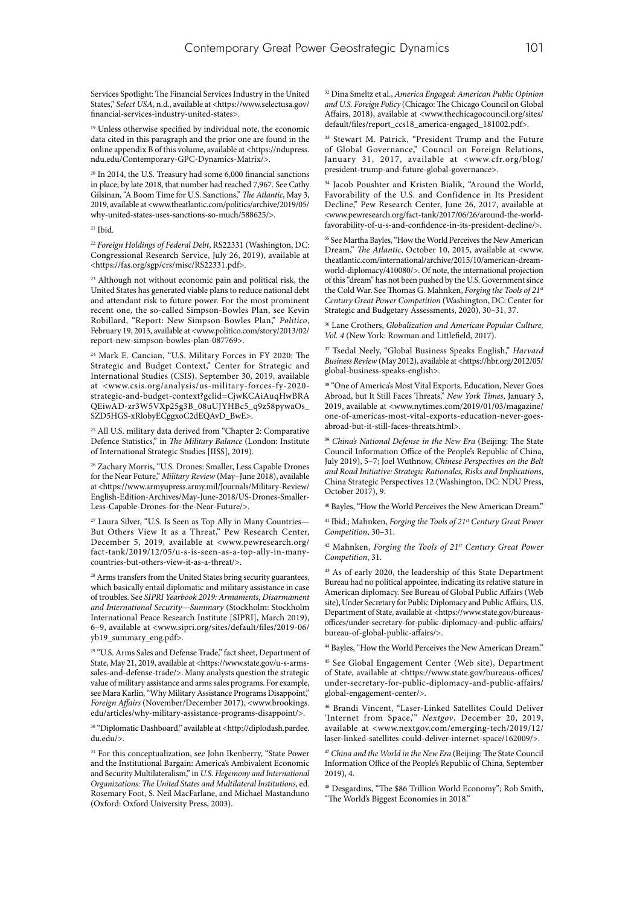Services Spotlight: The Financial Services Industry in the United States," *Select USA*, n.d., available at <https://www.selectusa.gov/ financial-services-industry-united-states>.

<sup>19</sup> Unless otherwise specified by individual note, the economic data cited in this paragraph and the prior one are found in the online appendix B of this volume, available at <https://ndupress. ndu.edu/Contemporary-GPC-Dynamics-Matrix/>.

<sup>20</sup> In 2014, the U.S. Treasury had some 6,000 financial sanctions in place; by late 2018, that number had reached 7,967. See Cathy Gilsinan, "A Boom Time for U.S. Sanctions," *The Atlantic*, May 3, 2019, available at <www.theatlantic.com/politics/archive/2019/05/ why-united-states-uses-sanctions-so-much/588625/>.

#### $21$  Ibid.

<sup>22</sup> *Foreign Holdings of Federal Debt*, RS22331 (Washington, DC: Congressional Research Service, July 26, 2019), available at <https://fas.org/sgp/crs/misc/RS22331.pdf>.

<sup>23</sup> Although not without economic pain and political risk, the United States has generated viable plans to reduce national debt and attendant risk to future power. For the most prominent recent one, the so-called Simpson-Bowles Plan, see Kevin Robillard, "Report: New Simpson-Bowles Plan," *Politico*, February 19, 2013, available at <www.politico.com/story/2013/02/ report-new-simpson-bowles-plan-087769>.

24 Mark E. Cancian, "U.S. Military Forces in FY 2020: The Strategic and Budget Context," Center for Strategic and International Studies (CSIS), September 30, 2019, available at <www.csis.org/analysis/us-military-forces-fy-2020 strategic-and-budget-context?gclid=CjwKCAiAuqHwBRA QEiwAD-zr3W5VXp25g3B\_08uUJYHBc5\_q9z58pywaOs\_ SZD5HGS-xRlobyECggxoC2dEQAvD\_BwE>.

<sup>25</sup> All U.S. military data derived from "Chapter 2: Comparative Defence Statistics," in *The Military Balance* (London: Institute of International Strategic Studies [IISS], 2019).

26 Zachary Morris, "U.S. Drones: Smaller, Less Capable Drones for the Near Future," *Military Review* (May–June 2018), available at <https://www.armyupress.army.mil/Journals/Military-Review/ English-Edition-Archives/May-June-2018/US-Drones-Smaller-Less-Capable-Drones-for-the-Near-Future/>.

<sup>27</sup> Laura Silver, "U.S. Is Seen as Top Ally in Many Countries-But Others View It as a Threat," Pew Research Center, December 5, 2019, available at <www.pewresearch.org/ fact-tank/2019/12/05/u-s-is-seen-as-a-top-ally-in-manycountries-but-others-view-it-as-a-threat/>.

 $^{28}$  Arms transfers from the United States bring security guarantees, which basically entail diplomatic and military assistance in case of troubles. See *SIPRI Yearbook 2019: Armaments, Disarmament and International Security—Summary* (Stockholm: Stockholm International Peace Research Institute [SIPRI], March 2019), 6–9, available at <www.sipri.org/sites/default/files/2019-06/ yb19\_summary\_eng.pdf>.

<sup>29</sup> "U.S. Arms Sales and Defense Trade," fact sheet, Department of State, May 21, 2019, available at <https://www.state.gov/u-s-armssales-and-defense-trade/>. Many analysts question the strategic value of military assistance and arms sales programs. For example, see Mara Karlin, "Why Military Assistance Programs Disappoint," *Foreign Affairs* (November/December 2017), <www.brookings. edu/articles/why-military-assistance-programs-disappoint/>.

30 "Diplomatic Dashboard," available at <http://diplodash.pardee. du.edu/>.

<sup>31</sup> For this conceptualization, see John Ikenberry, "State Power and the Institutional Bargain: America's Ambivalent Economic and Security Multilateralism," in *U.S. Hegemony and International Organizations: The United States and Multilateral Institutions*, ed. Rosemary Foot, S. Neil MacFarlane, and Michael Mastanduno (Oxford: Oxford University Press, 2003).

32 Dina Smeltz et al., *America Engaged: American Public Opinion and U.S. Foreign Policy* (Chicago: The Chicago Council on Global Affairs, 2018), available at <www.thechicagocouncil.org/sites/ default/files/report\_ccs18\_america-engaged\_181002.pdf>.

<sup>33</sup> Stewart M. Patrick, "President Trump and the Future of Global Governance," Council on Foreign Relations, January 31, 2017, available at <www.cfr.org/blog/ president-trump-and-future-global-governance>.

34 Jacob Poushter and Kristen Bialik, "Around the World, Favorability of the U.S. and Confidence in Its President Decline," Pew Research Center, June 26, 2017, available at <www.pewresearch.org/fact-tank/2017/06/26/around-the-worldfavorability-of-u-s-and-confidence-in-its-president-decline/>.

<sup>35</sup> See Martha Bayles, "How the World Perceives the New American Dream," *The Atlantic*, October 10, 2015, available at <www. theatlantic.com/international/archive/2015/10/american-dreamworld-diplomacy/410080/>. Of note, the international projection of this "dream" has not been pushed by the U.S. Government since the Cold War. See Thomas G. Mahnken, *Forging the Tools of 21st Century Great Power Competition* (Washington, DC: Center for Strategic and Budgetary Assessments, 2020), 30–31, 37.

36 Lane Crothers, *Globalization and American Popular Culture, Vol. 4* (New York: Rowman and Littlefield, 2017).

37 Tsedal Neely, "Global Business Speaks English," *Harvard Business Review* (May 2012), available at <https://hbr.org/2012/05/ global-business-speaks-english>.

38 "One of America's Most Vital Exports, Education, Never Goes Abroad, but It Still Faces Threats," *New York Times*, January 3, 2019, available at <www.nytimes.com/2019/01/03/magazine/ one-of-americas-most-vital-exports-education-never-goesabroad-but-it-still-faces-threats.html>.

<sup>39</sup> *China's National Defense in the New Era* (Beijing: The State Council Information Office of the People's Republic of China, July 2019), 5–7; Joel Wuthnow, *Chinese Perspectives on the Belt and Road Initiative: Strategic Rationales, Risks and Implications*, China Strategic Perspectives 12 (Washington, DC: NDU Press, October 2017), 9.

40 Bayles, "How the World Perceives the New American Dream."

<sup>41</sup> Ibid.; Mahnken, *Forging the Tools of 21<sup>st</sup> Century Great Power Competition*, 30–31.

42 Mahnken, *Forging the Tools of 21st Century Great Power Competition*, 31.

43 As of early 2020, the leadership of this State Department Bureau had no political appointee, indicating its relative stature in American diplomacy. See Bureau of Global Public Affairs (Web site), Under Secretary for Public Diplomacy and Public Affairs, U.S. Department of State, available at <https://www.state.gov/bureausoffices/under-secretary-for-public-diplomacy-and-public-affairs/ bureau-of-global-public-affairs/>.

44 Bayles, "How the World Perceives the New American Dream."

45 See Global Engagement Center (Web site), Department of State, available at <https://www.state.gov/bureaus-offices/ under-secretary-for-public-diplomacy-and-public-affairs/ global-engagement-center/>.

46 Brandi Vincent, "Laser-Linked Satellites Could Deliver 'Internet from Space,'" *Nextgov*, December 20, 2019, available at <www.nextgov.com/emerging-tech/2019/12/ laser-linked-satellites-could-deliver-internet-space/162009/>.

<sup>47</sup> *China and the World in the New Era* (Beijing: The State Council Information Office of the People's Republic of China, September 2019), 4.

48 Desgardins, "The \$86 Trillion World Economy"; Rob Smith, "The World's Biggest Economies in 2018."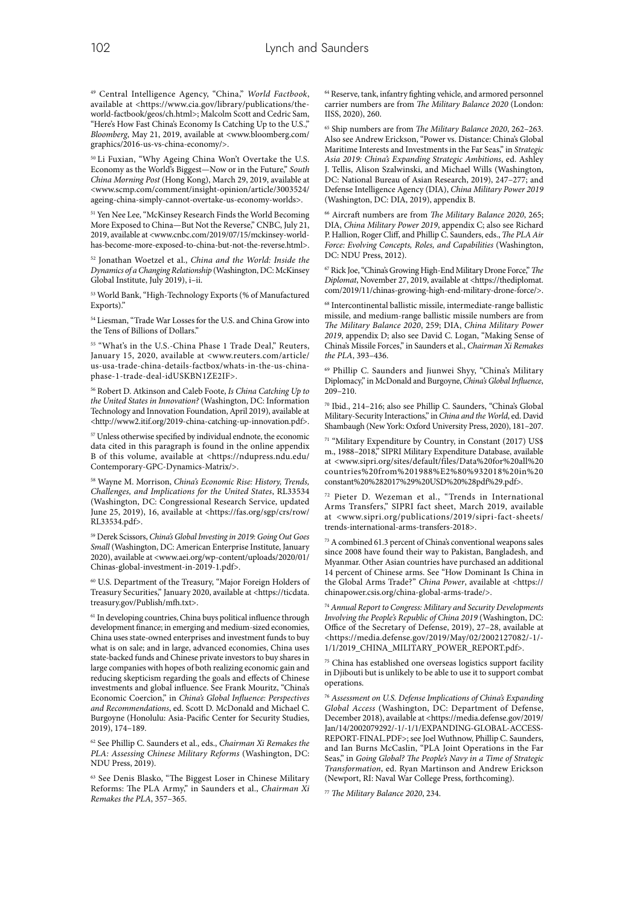49 Central Intelligence Agency, "China," *World Factbook*, available at <https://www.cia.gov/library/publications/theworld-factbook/geos/ch.html>; Malcolm Scott and Cedric Sam, "Here's How Fast China's Economy Is Catching Up to the U.S.," *Bloomberg*, May 21, 2019, available at <www.bloomberg.com/ graphics/2016-us-vs-china-economy/>.

50 Li Fuxian, "Why Ageing China Won't Overtake the U.S. Economy as the World's Biggest—Now or in the Future," *South China Morning Post* (Hong Kong), March 29, 2019, available at <www.scmp.com/comment/insight-opinion/article/3003524/ ageing-china-simply-cannot-overtake-us-economy-worlds>.

<sup>51</sup> Yen Nee Lee, "McKinsey Research Finds the World Becoming More Exposed to China—But Not the Reverse," CNBC, July 21, 2019, available at <www.cnbc.com/2019/07/15/mckinsey-worldhas-become-more-exposed-to-china-but-not-the-reverse.html>.

52 Jonathan Woetzel et al., *China and the World: Inside the Dynamics of a Changing Relationship* (Washington, DC: McKinsey Global Institute, July 2019), i–ii.

53 World Bank, "High-Technology Exports (% of Manufactured Exports)."

54 Liesman, "Trade War Losses for the U.S. and China Grow into the Tens of Billions of Dollars."

<sup>55</sup> "What's in the U.S.-China Phase 1 Trade Deal," Reuters, January 15, 2020, available at <www.reuters.com/article/ us-usa-trade-china-details-factbox/whats-in-the-us-chinaphase-1-trade-deal-idUSKBN1ZE2IF>.

56 Robert D. Atkinson and Caleb Foote, *Is China Catching Up to the United States in Innovation?* (Washington, DC: Information Technology and Innovation Foundation, April 2019), available at <http://www2.itif.org/2019-china-catching-up-innovation.pdf>.

57 Unless otherwise specified by individual endnote, the economic data cited in this paragraph is found in the online appendix B of this volume, available at <https://ndupress.ndu.edu/ Contemporary-GPC-Dynamics-Matrix/>.

58 Wayne M. Morrison, *China's Economic Rise: History, Trends, Challenges, and Implications for the United States*, RL33534 (Washington, DC: Congressional Research Service, updated June 25, 2019), 16, available at <https://fas.org/sgp/crs/row/ RL33534.pdf>.

59 Derek Scissors, *China's Global Investing in 2019: Going Out Goes Small* (Washington, DC: American Enterprise Institute, January 2020), available at <www.aei.org/wp-content/uploads/2020/01/ Chinas-global-investment-in-2019-1.pdf>.

60 U.S. Department of the Treasury, "Major Foreign Holders of Treasury Securities," January 2020, available at <https://ticdata. treasury.gov/Publish/mfh.txt>.

<sup>61</sup> In developing countries, China buys political influence through development finance; in emerging and medium-sized economies, China uses state-owned enterprises and investment funds to buy what is on sale; and in large, advanced economies, China uses state-backed funds and Chinese private investors to buy shares in large companies with hopes of both realizing economic gain and reducing skepticism regarding the goals and effects of Chinese investments and global influence. See Frank Mouritz, "China's Economic Coercion," in *China's Global Influence: Perspectives and Recommendations*, ed. Scott D. McDonald and Michael C. Burgoyne (Honolulu: Asia-Pacific Center for Security Studies, 2019), 174–189.

62 See Phillip C. Saunders et al., eds., *Chairman Xi Remakes the PLA: Assessing Chinese Military Reforms* (Washington, DC: NDU Press, 2019).

63 See Denis Blasko, "The Biggest Loser in Chinese Military Reforms: The PLA Army," in Saunders et al., *Chairman Xi Remakes the PLA*, 357–365.

64 Reserve, tank, infantry fighting vehicle, and armored personnel carrier numbers are from *The Military Balance 2020* (London: IISS, 2020), 260.

65 Ship numbers are from *The Military Balance 2020*, 262–263. Also see Andrew Erickson, "Power vs. Distance: China's Global Maritime Interests and Investments in the Far Seas," in *Strategic Asia 2019: China's Expanding Strategic Ambitions*, ed. Ashley J. Tellis, Alison Szalwinski, and Michael Wills (Washington, DC: National Bureau of Asian Research, 2019), 247–277; and Defense Intelligence Agency (DIA), *China Military Power 2019* (Washington, DC: DIA, 2019), appendix B.

66 Aircraft numbers are from *The Military Balance 2020*, 265; DIA, *China Military Power 2019*, appendix C; also see Richard P. Hallion, Roger Cliff, and Phillip C. Saunders, eds., *The PLA Air Force: Evolving Concepts, Roles, and Capabilities* (Washington, DC: NDU Press, 2012).

67 Rick Joe, "China's Growing High-End Military Drone Force," *The Diplomat*, November 27, 2019, available at <https://thediplomat. com/2019/11/chinas-growing-high-end-military-drone-force/>.

68 Intercontinental ballistic missile, intermediate-range ballistic missile, and medium-range ballistic missile numbers are from *The Military Balance 2020*, 259; DIA, *China Military Power 2019*, appendix D; also see David C. Logan, "Making Sense of China's Missile Forces," in Saunders et al., *Chairman Xi Remakes the PLA*, 393–436.

69 Phillip C. Saunders and Jiunwei Shyy, "China's Military Diplomacy," in McDonald and Burgoyne, *China's Global Influence*,  $209 - 210$ .

70 Ibid., 214–216; also see Phillip C. Saunders, "China's Global Military-Security Interactions," in *China and the World*, ed. David Shambaugh (New York: Oxford University Press, 2020), 181–207.

71 "Military Expenditure by Country, in Constant (2017) US\$ m., 1988–2018," SIPRI Military Expenditure Database, available at <www.sipri.org/sites/default/files/Data%20for%20all%20 countries%20from%201988%E2%80%932018%20in%20 constant%20%282017%29%20USD%20%28pdf%29.pdf>.

72 Pieter D. Wezeman et al., "Trends in International Arms Transfers," SIPRI fact sheet, March 2019, available at <www.sipri.org/publications/2019/sipri-fact-sheets/ trends-international-arms-transfers-2018>.

73 A combined 61.3 percent of China's conventional weapons sales since 2008 have found their way to Pakistan, Bangladesh, and Myanmar. Other Asian countries have purchased an additional 14 percent of Chinese arms. See "How Dominant Is China in the Global Arms Trade?" *China Power*, available at <https:// chinapower.csis.org/china-global-arms-trade/>.

<sup>74</sup> *Annual Report to Congress: Military and Security Developments Involving the People's Republic of China 2019* (Washington, DC: Office of the Secretary of Defense, 2019), 27–28, available at <https://media.defense.gov/2019/May/02/2002127082/-1/- 1/1/2019\_CHINA\_MILITARY\_POWER\_REPORT.pdf>.

75 China has established one overseas logistics support facility in Djibouti but is unlikely to be able to use it to support combat operations.

<sup>76</sup> *Assessment on U.S. Defense Implications of China's Expanding Global Access* (Washington, DC: Department of Defense, December 2018), available at <https://media.defense.gov/2019/ Jan/14/2002079292/-1/-1/1/EXPANDING-GLOBAL-ACCESS-REPORT-FINAL.PDF>; see Joel Wuthnow, Phillip C. Saunders, and Ian Burns McCaslin, "PLA Joint Operations in the Far Seas," in *Going Global? The People's Navy in a Time of Strategic Transformation*, ed. Ryan Martinson and Andrew Erickson (Newport, RI: Naval War College Press, forthcoming).

<sup>77</sup> *The Military Balance 2020*, 234.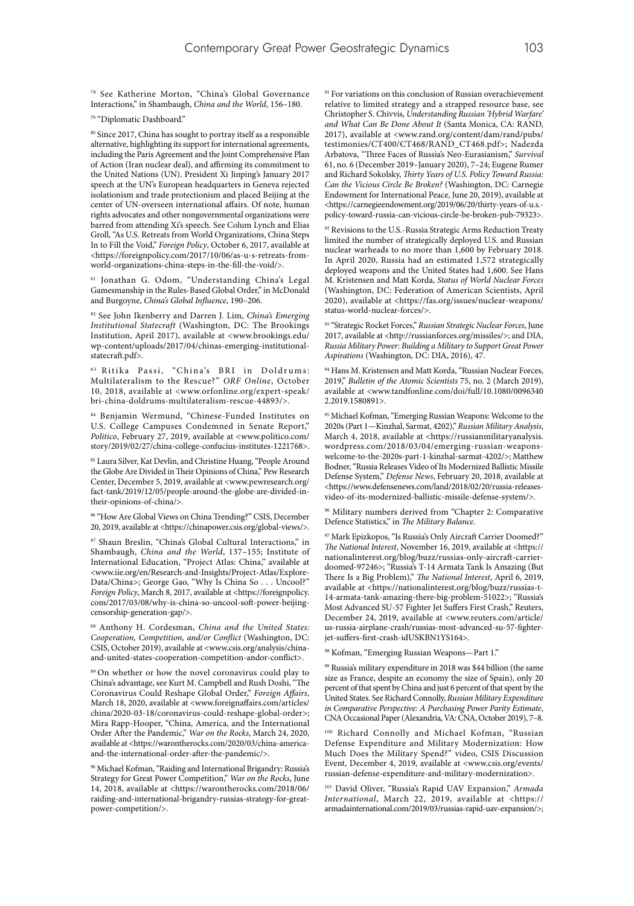78 See Katherine Morton, "China's Global Governance Interactions," in Shambaugh, *China and the World*, 156–180.

79 "Diplomatic Dashboard."

80 Since 2017, China has sought to portray itself as a responsible alternative, highlighting its support for international agreements, including the Paris Agreement and the Joint Comprehensive Plan of Action (Iran nuclear deal), and affirming its commitment to the United Nations (UN). President Xi Jinping's January 2017 speech at the UN's European headquarters in Geneva rejected isolationism and trade protectionism and placed Beijing at the center of UN-overseen international affairs. Of note, human rights advocates and other nongovernmental organizations were barred from attending Xi's speech. See Colum Lynch and Elias Groll, "As U.S. Retreats from World Organizations, China Steps In to Fill the Void," *Foreign Policy*, October 6, 2017, available at <https://foreignpolicy.com/2017/10/06/as-u-s-retreats-fromworld-organizations-china-steps-in-the-fill-the-void/>.

81 Jonathan G. Odom, "Understanding China's Legal Gamesmanship in the Rules-Based Global Order," in McDonald and Burgoyne, *China's Global Influence*, 190–206.

82 See John Ikenberry and Darren J. Lim, *China's Emerging Institutional Statecraft* (Washington, DC: The Brookings Institution, April 2017), available at <www.brookings.edu/ wp-content/uploads/2017/04/chinas-emerging-institutionalstatecraft.pdf>.

83 Ritika Passi, "China's BRI in Doldrums: Multilateralism to the Rescue?" *ORF Online*, October 10, 2018, available at <www.orfonline.org/expert-speak/ bri-china-doldrums-multilateralism-rescue-44893/>.

84 Benjamin Wermund, "Chinese-Funded Institutes on U.S. College Campuses Condemned in Senate Report," *Politico*, February 27, 2019, available at <www.politico.com/ story/2019/02/27/china-college-confucius-institutes-1221768>.

85 Laura Silver, Kat Devlin, and Christine Huang, "People Around the Globe Are Divided in Their Opinions of China," Pew Research Center, December 5, 2019, available at <www.pewresearch.org/ fact-tank/2019/12/05/people-around-the-globe-are-divided-intheir-opinions-of-china/>.

86 "How Are Global Views on China Trending?" CSIS, December 20, 2019, available at <https://chinapower.csis.org/global-views/>.

<sup>87</sup> Shaun Breslin, "China's Global Cultural Interactions," in Shambaugh, *China and the World*, 137–155; Institute of International Education, "Project Atlas: China," available at <www.iie.org/en/Research-and-Insights/Project-Atlas/Explore-Data/China>; George Gao, "Why Is China So . . . Uncool?" *Foreign Policy*, March 8, 2017, available at <https://foreignpolicy. com/2017/03/08/why-is-china-so-uncool-soft-power-beijingcensorship-generation-gap/>.

88 Anthony H. Cordesman, *China and the United States: Cooperation, Competition, and/or Conflict* (Washington, DC: CSIS, October 2019), available at <www.csis.org/analysis/chinaand-united-states-cooperation-competition-andor-conflict>.

89 On whether or how the novel coronavirus could play to China's advantage, see Kurt M. Campbell and Rush Doshi, "The Coronavirus Could Reshape Global Order," *Foreign Affairs*, March 18, 2020, available at <www.foreignaffairs.com/articles/ china/2020-03-18/coronavirus-could-reshape-global-order>; Mira Rapp-Hooper, "China, America, and the International Order After the Pandemic," *War on the Rocks*, March 24, 2020, available at <https://warontherocks.com/2020/03/china-americaand-the-international-order-after-the-pandemic/>.

90 Michael Kofman, "Raiding and International Brigandry: Russia's Strategy for Great Power Competition," *War on the Rocks*, June 14, 2018, available at <https://warontherocks.com/2018/06/ raiding-and-international-brigandry-russias-strategy-for-greatpower-competition/>.

<sup>91</sup> For variations on this conclusion of Russian overachievement relative to limited strategy and a strapped resource base, see Christopher S. Chivvis, *Understanding Russian 'Hybrid Warfare' and What Can Be Done About It* (Santa Monica, CA: RAND, 2017), available at <www.rand.org/content/dam/rand/pubs/ testimonies/CT400/CT468/RAND\_CT468.pdf>; Nadezda Arbatova, "Three Faces of Russia's Neo-Eurasianism," *Survival* 61, no. 6 (December 2019–January 2020), 7–24; Eugene Rumer and Richard Sokolsky, *Thirty Years of U.S. Policy Toward Russia: Can the Vicious Circle Be Broken?* (Washington, DC: Carnegie Endowment for International Peace, June 20, 2019), available at <https://carnegieendowment.org/2019/06/20/thirty-years-of-u.s. policy-toward-russia-can-vicious-circle-be-broken-pub-79323>.

<sup>92</sup> Revisions to the U.S.-Russia Strategic Arms Reduction Treaty limited the number of strategically deployed U.S. and Russian nuclear warheads to no more than 1,600 by February 2018. In April 2020, Russia had an estimated 1,572 strategically deployed weapons and the United States had 1,600. See Hans M. Kristensen and Matt Korda, *Status of World Nuclear Forces* (Washington, DC: Federation of American Scientists, April 2020), available at <https://fas.org/issues/nuclear-weapons/ status-world-nuclear-forces/>.

93 "Strategic Rocket Forces," *Russian Strategic Nuclear Forces*, June 2017, available at <http://russianforces.org/missiles/>; and DIA, *Russia Military Power: Building a Military to Support Great Power Aspirations* (Washington, DC: DIA, 2016), 47.

94 Hans M. Kristensen and Matt Korda, "Russian Nuclear Forces, 2019," *Bulletin of the Atomic Scientists* 75, no. 2 (March 2019), available at <www.tandfonline.com/doi/full/10.1080/0096340 2.2019.1580891>.

95 Michael Kofman, "Emerging Russian Weapons: Welcome to the 2020s (Part 1—Kinzhal, Sarmat, 4202)," *Russian Military Analysis*, March 4, 2018, available at <https://russianmilitaryanalysis. wordpress.com/2018/03/04/emerging-russian-weaponswelcome-to-the-2020s-part-1-kinzhal-sarmat-4202/>; Matthew Bodner, "Russia Releases Video of Its Modernized Ballistic Missile Defense System," *Defense News*, February 20, 2018, available at <https://www.defensenews.com/land/2018/02/20/russia-releasesvideo-of-its-modernized-ballistic-missile-defense-system/>.

96 Military numbers derived from "Chapter 2: Comparative Defence Statistics," in *The Military Balance*.

97 Mark Epizkopos, "Is Russia's Only Aircraft Carrier Doomed?" *The National Interest*, November 16, 2019, available at <https:// nationalinterest.org/blog/buzz/russias-only-aircraft-carrierdoomed-97246>; "Russia's T-14 Armata Tank Is Amazing (But There Is a Big Problem)," *The National Interest*, April 6, 2019, available at <https://nationalinterest.org/blog/buzz/russias-t-14-armata-tank-amazing-there-big-problem-51022>; "Russia's Most Advanced SU-57 Fighter Jet Suffers First Crash," Reuters, December 24, 2019, available at <www.reuters.com/article/ us-russia-airplane-crash/russias-most-advanced-su-57-fighterjet-suffers-first-crash-idUSKBN1YS164>.

98 Kofman, "Emerging Russian Weapons—Part 1."

99 Russia's military expenditure in 2018 was \$44 billion (the same size as France, despite an economy the size of Spain), only 20 percent of that spent by China and just 6 percent of that spent by the United States. See Richard Connolly, *Russian Military Expenditure in Comparative Perspective: A Purchasing Power Parity Estimate*, CNA Occasional Paper (Alexandria, VA: CNA, October 2019), 7–8.

100 Richard Connolly and Michael Kofman, "Russian Defense Expenditure and Military Modernization: How Much Does the Military Spend?" video, CSIS Discussion Event, December 4, 2019, available at <www.csis.org/events/ russian-defense-expenditure-and-military-modernization>.

101 David Oliver, "Russia's Rapid UAV Expansion," *Armada International*, March 22, 2019, available at <https:// armadainternational.com/2019/03/russias-rapid-uav-expansion/>;